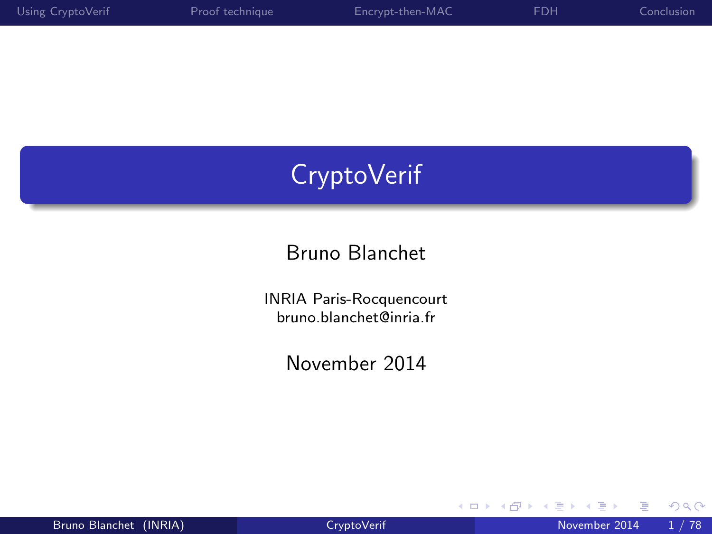# **CryptoVerif**

### Bruno Blanchet

INRIA Paris-Rocquencourt bruno.blanchet@inria.fr

November 2014

<span id="page-0-0"></span>э

E

**≮ロ ▶ (伊 )** 

× э ×  $\mathcal{A}$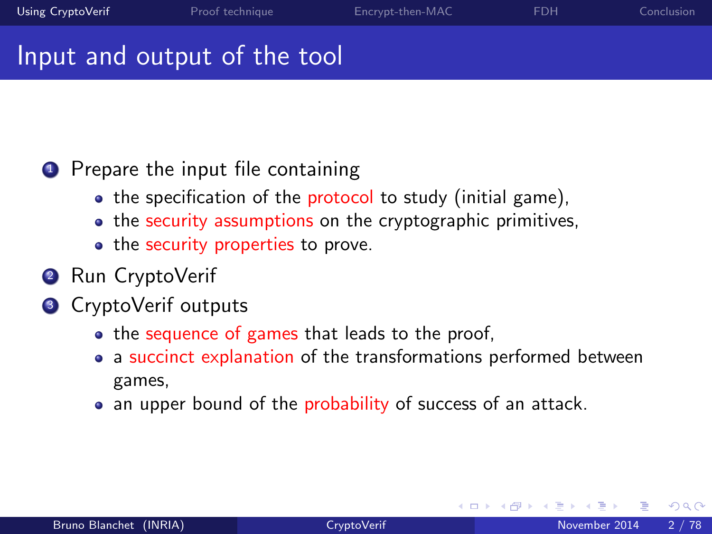### Input and output of the tool

### **1** Prepare the input file containing

- the specification of the protocol to study (initial game),
- the security assumptions on the cryptographic primitives,
- the security properties to prove.
- 2 Run CryptoVerif
- **3** CryptoVerif outputs
	- the sequence of games that leads to the proof,
	- a succinct explanation of the transformations performed between games,
	- an upper bound of the probability of success of an attack.

<span id="page-1-0"></span>4 0 8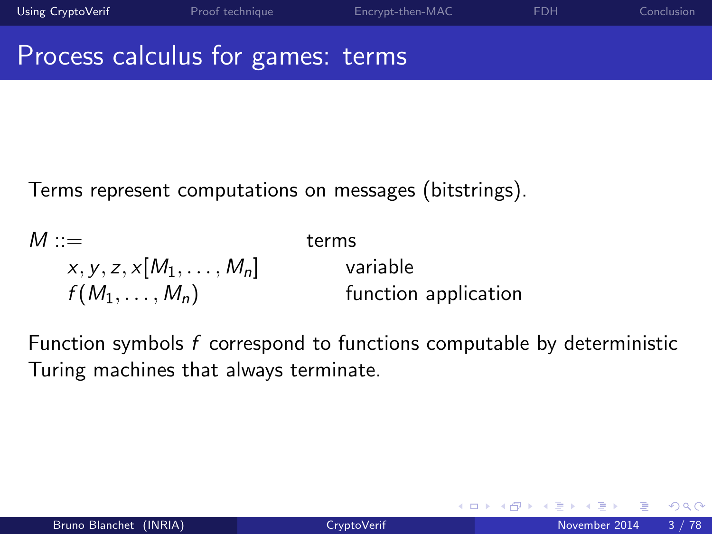<span id="page-2-0"></span>**∢ ロ ▶ ィ 何** 

### Process calculus for games: terms

Terms represent computations on messages (bitstrings).

 $M ::=$  terms  $x, y, z, x[M_1, \ldots, M_n]$  variable<br> $f(M_1, \ldots, M_n)$  function function application

Function symbols f correspond to functions computable by deterministic Turing machines that always terminate.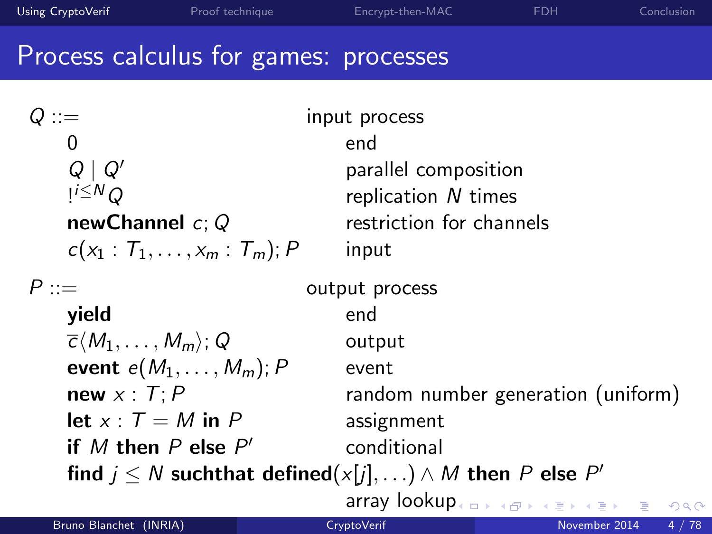## Process calculus for games: processes

| $Q ::=$                                                                    | input process                                                                                                 |  |  |  |
|----------------------------------------------------------------------------|---------------------------------------------------------------------------------------------------------------|--|--|--|
| 0                                                                          | end                                                                                                           |  |  |  |
| $Q \mid Q'$                                                                | parallel composition                                                                                          |  |  |  |
| $1^{i \leq N} Q$                                                           | replication N times                                                                                           |  |  |  |
| newChannel $c; Q$                                                          | restriction for channels                                                                                      |  |  |  |
| $c(x_1 : T_1, \ldots, x_m : T_m)$ ; P                                      | input                                                                                                         |  |  |  |
| $P ::=$                                                                    | output process                                                                                                |  |  |  |
| yield                                                                      | end                                                                                                           |  |  |  |
| $\overline{c}\langle M_1,\ldots,M_m\rangle; Q$                             | output                                                                                                        |  |  |  |
| event $e(M_1,\ldots,M_m)$ ; P                                              | event                                                                                                         |  |  |  |
| new $x : T : P$                                                            | random number generation (uniform)                                                                            |  |  |  |
| let $x: T = M$ in P                                                        | assignment                                                                                                    |  |  |  |
| if M then P else $P'$                                                      | conditional                                                                                                   |  |  |  |
| find $j \leq N$ such that defined $(x[j], \ldots) \wedge M$ then P else P' |                                                                                                               |  |  |  |
|                                                                            | array lookup and a state of the state of the state of the state of the state of the state of the state of the |  |  |  |
| Bruno Blanchet (INRIA)                                                     | CrvptoVerif<br>4/78<br>November 2014                                                                          |  |  |  |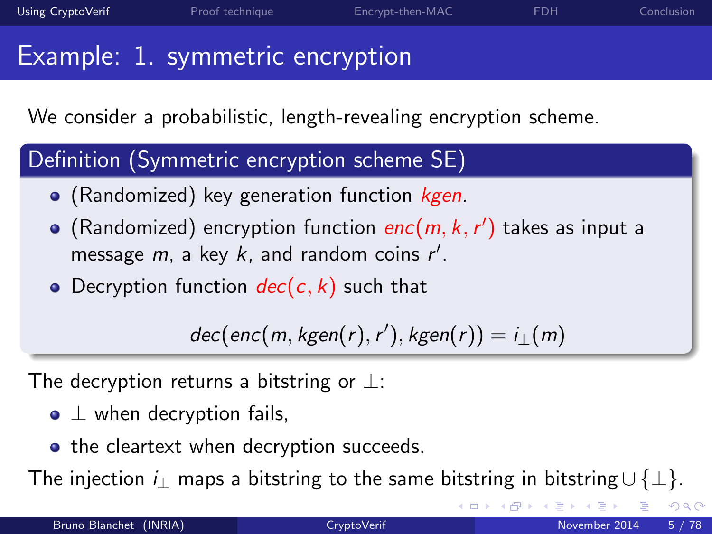# Example: 1. symmetric encryption

We consider a probabilistic, length-revealing encryption scheme.

### Definition (Symmetric encryption scheme SE)

- (Randomized) key generation function kgen.
- (Randomized) encryption function  $enc(m, k, r')$  takes as input a message  $m$ , a key  $k$ , and random coins  $r'$ .
- Decryption function  $dec(c, k)$  such that

 $dec(enc(m, kgen(r), r'), kgen(r)) = i<sub>⊥</sub>(m)$ 

The decryption returns a bitstring or  $\perp$ :

- $\bullet \perp$  when decryption fails,
- the cleartext when decryption succeeds.

The injection  $i_{\perp}$  maps a bitstring to the same bitstring in bitstring  $\cup \{\perp\}$ .

ィロ ▶ イ母 ▶ イヨ ▶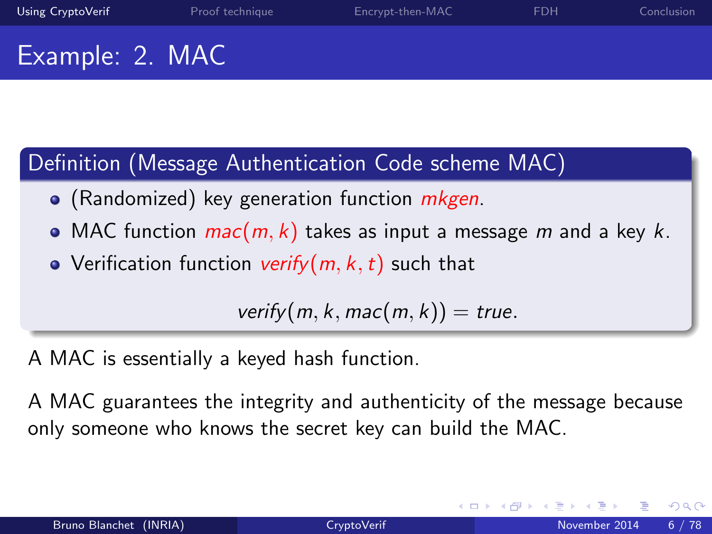## Example: 2. MAC

### Definition (Message Authentication Code scheme MAC)

- (Randomized) key generation function *mkgen*.
- MAC function  $mac(m, k)$  takes as input a message m and a key k.
- Verification function verify $(m, k, t)$  such that

verify(m, k, mac(m, k)) = true.

A MAC is essentially a keyed hash function.

A MAC guarantees the integrity and authenticity of the message because only someone who knows the secret key can build the MAC.

4 0 8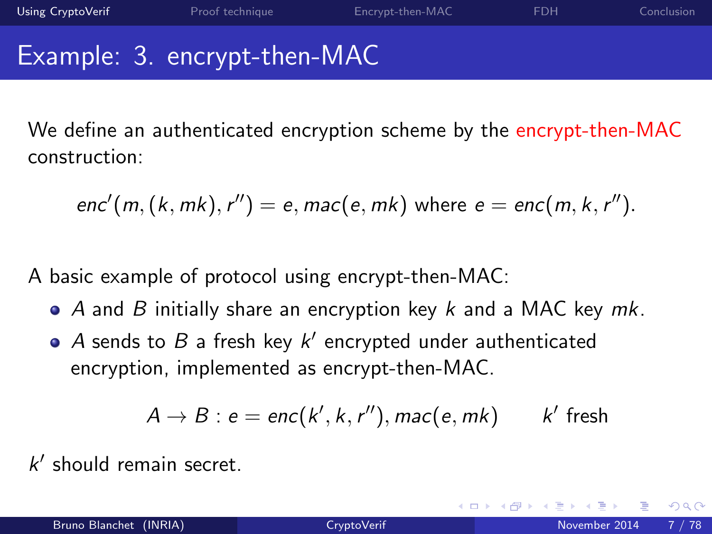<span id="page-6-0"></span>4 0 8

## Example: 3. encrypt-then-MAC

We define an authenticated encryption scheme by the encrypt-then-MAC construction:

$$
enc'(m, (k, mk), r'') = e, mac(e, mk)
$$
 where  $e = enc(m, k, r'').$ 

A basic example of protocol using encrypt-then-MAC:

- $\bullet$  A and B initially share an encryption key k and a MAC key mk.
- A sends to  $B$  a fresh key  $k'$  encrypted under authenticated encryption, implemented as encrypt-then-MAC.

$$
A \rightarrow B : e = enc(k', k, r''), mac(e, mk) \qquad k' \text{ fresh}
$$

 $k'$  should remain secret.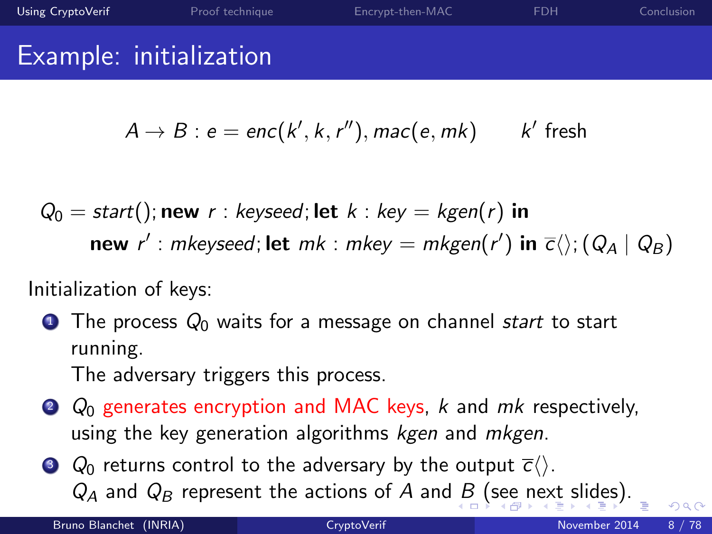### Example: initialization

$$
A \rightarrow B : e = enc(k', k, r''), mac(e, mk) \qquad k' \text{ fresh}
$$

$$
Q_0 = start(); \text{new } r : key = \text{key} = \text{kgen}(r) \text{ in}
$$
\n
$$
\text{new } r' : m \text{key} = \text{key} = m \text{kgen}(r') \text{ in } \overline{c} \langle \rangle; (Q_A \mid Q_B)
$$

Initialization of keys:

 $\bullet$  The process  $Q_0$  waits for a message on channel start to start running. The adversary triggers this process.

 $\bullet$   $Q_0$  generates encryption and MAC keys, k and mk respectively, using the key generation algorithms kgen and mkgen.

<span id="page-7-0"></span> $\bullet$   $Q_0$  returns control to the adversary by the output  $\overline{c}\langle\rangle$ .  $Q_A$  a[n](#page-8-0)[d](#page-1-0)  $Q_B$  $Q_B$  represent the actions of A and B [\(s](#page-8-0)[e](#page-15-0)[e](#page-7-0) ne[x](#page-1-0)[t](#page-15-0) [s](#page-16-0)[li](#page-0-0)de[s\)](#page-16-0)[.](#page-0-0)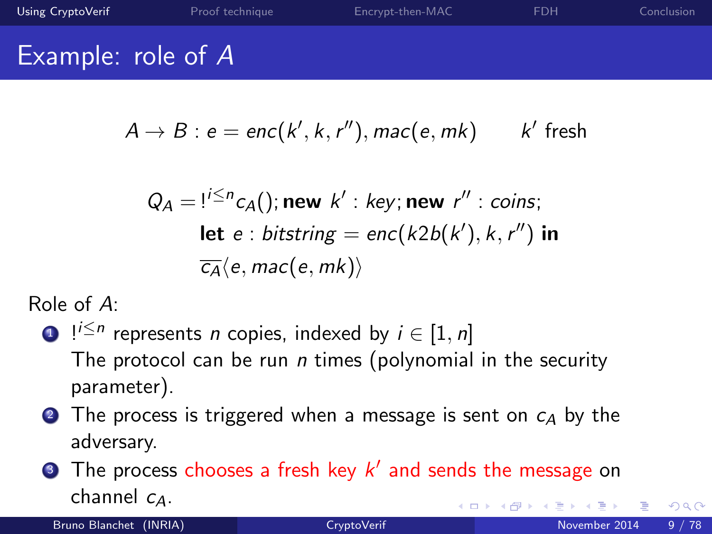## Example: role of A

$$
A \rightarrow B : e = enc(k', k, r''), mac(e, mk) \qquad k' \text{ fresh}
$$

$$
Q_A = \frac{1}{2} \epsilon_1 \epsilon_2 \epsilon_3 \epsilon_4 \epsilon_5
$$
  
let  $e : \text{ bitstring} = \text{enc}(k2b(k'), k, r'')$  in  $\overline{c_A}(e, mac(e, mk))$ 

Role of A:

- **1**  $i \leq n$  represents *n* copies, indexed by  $i \in [1, n]$ The protocol can be run  $n$  times (polynomial in the security parameter).
- **2** The process is triggered when a message is sent on  $c_A$  by the adversary.
- **3** The process chooses a fresh key  $k'$  and sends the message on channel  $c_A$ . 4 0 8

<span id="page-8-0"></span>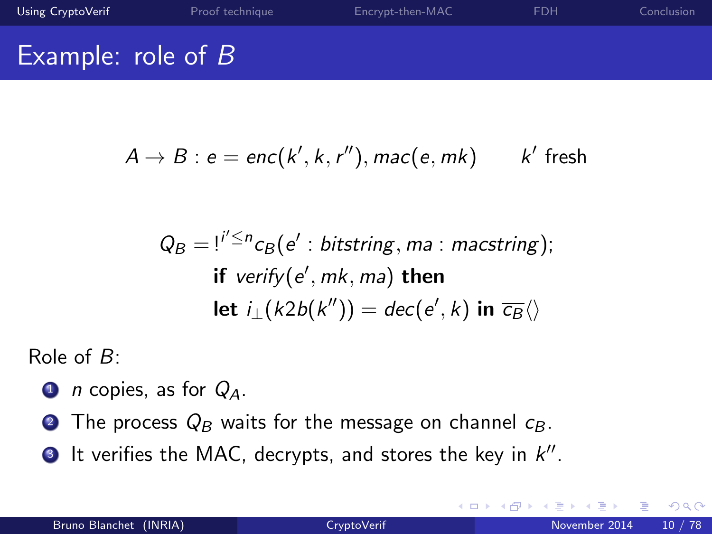$$
A \rightarrow B : e = enc(k', k, r''), mac(e, mk) \qquad k' \text{ fresh}
$$

$$
Q_B = I^{i' \le n} c_B(e' : bitstring, ma : macstring);
$$
  
**if** verify( $e', mk, ma$ ) **then**  
**let**  $i_{\perp}(k2b(k'')) = dec(e', k)$  **in**  $\overline{c_B}\langle$ 

Role of  $B^1$ 

- $\bullet$  n copies, as for  $Q_A$ .
- **2** The process  $Q_B$  waits for the message on channel  $c_B$ .
- It verifies the MAC, decrypts, and stores the key in  $k''$ .

4 0 8

 $QQ$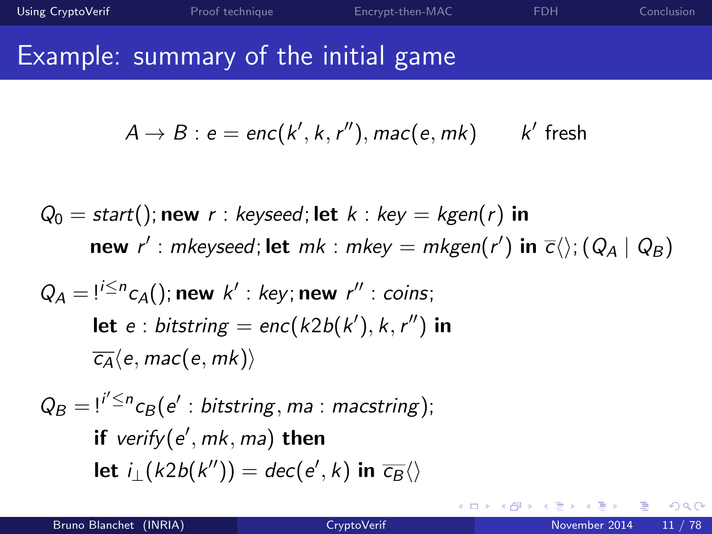## Example: summary of the initial game

$$
A \rightarrow B : e = enc(k', k, r''), mac(e, mk) \qquad k' \text{ fresh}
$$

$$
Q_0 = start(); \text{new } r : key = \text{key} = \text{kgen}(r) \text{ in}
$$
\n
$$
\text{new } r' : m \text{key} = d; \text{let } m \text{key} = m \text{kgen}(r') \text{ in } \overline{c} \langle \rangle; (Q_A \mid Q_B)
$$

$$
Q_A = I^{i \le n} c_A();
$$
 **new** k': key; **new** r" : coins;  
**let** e : bitstring = enc(k2b(k'), k, r") **in**  

$$
\overline{c_A} \langle e, mac(e, mk) \rangle
$$

$$
Q_B = I^{i' \le n} c_B(e' : bitstring, ma : macstring);
$$
  
**if** verify( $e', mk, ma$ ) **then**  
**let**  $i_{\perp}(k2b(k'')) = dec(e', k)$  **in**  $\overline{c_B}\langle$ 

 $\mathcal{A}$ ≃ э

**4 ロ ▶ 4 何 ▶**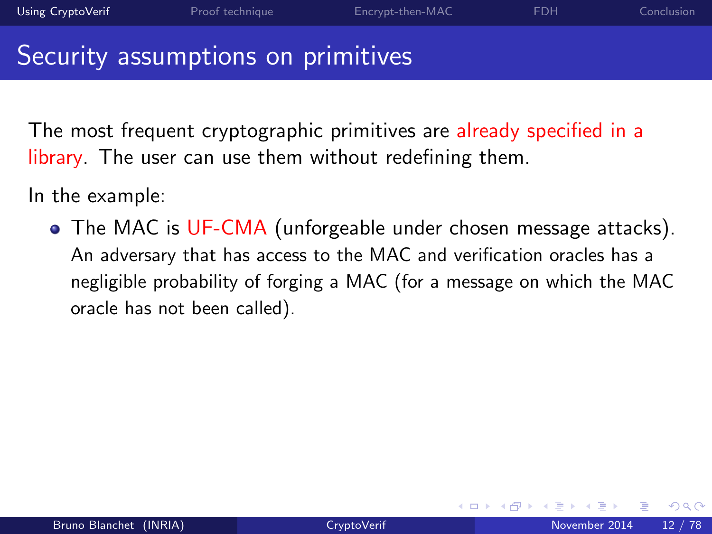4 0 8

## Security assumptions on primitives

The most frequent cryptographic primitives are already specified in a library. The user can use them without redefining them.

In the example:

**•** The MAC is UF-CMA (unforgeable under chosen message attacks). An adversary that has access to the MAC and verification oracles has a negligible probability of forging a MAC (for a message on which the MAC oracle has not been called).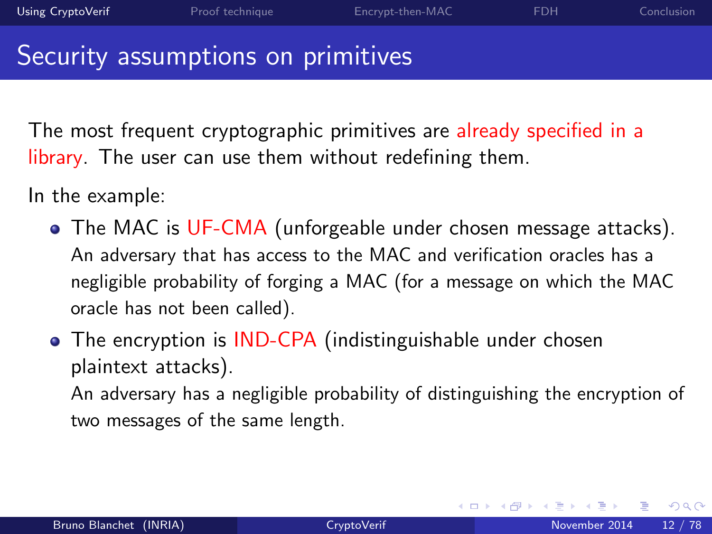( □ ) ( <sub>□</sub> ) (

## Security assumptions on primitives

The most frequent cryptographic primitives are already specified in a library. The user can use them without redefining them.

In the example:

- **•** The MAC is UF-CMA (unforgeable under chosen message attacks). An adversary that has access to the MAC and verification oracles has a negligible probability of forging a MAC (for a message on which the MAC oracle has not been called).
- The encryption is IND-CPA (indistinguishable under chosen plaintext attacks). An adversary has a negligible probability of distinguishing the encryption of

two messages of the same length.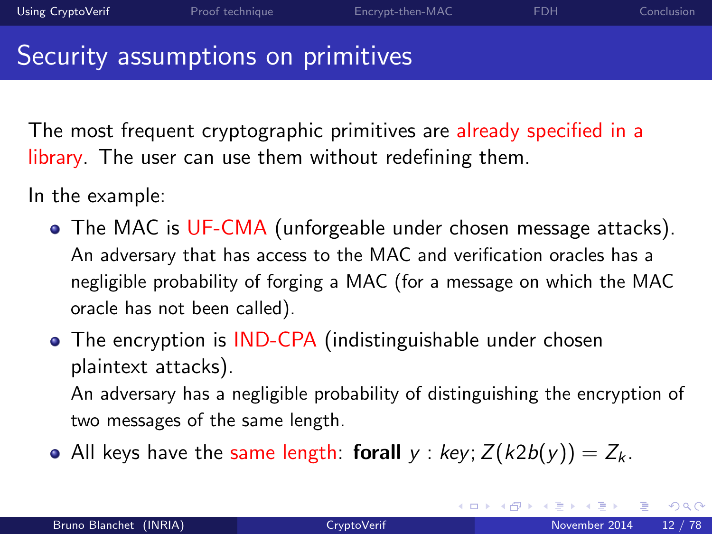## Security assumptions on primitives

The most frequent cryptographic primitives are already specified in a library. The user can use them without redefining them.

In the example:

- **•** The MAC is UF-CMA (unforgeable under chosen message attacks). An adversary that has access to the MAC and verification oracles has a negligible probability of forging a MAC (for a message on which the MAC oracle has not been called).
- The encryption is IND-CPA (indistinguishable under chosen plaintext attacks).

An adversary has a negligible probability of distinguishing the encryption of two messages of the same length.

• All keys have the same length: forall  $y : key$ ;  $Z(k2b(y)) = Z_k$ .

 $QQ$ 

メロト メ押 トメミト メミ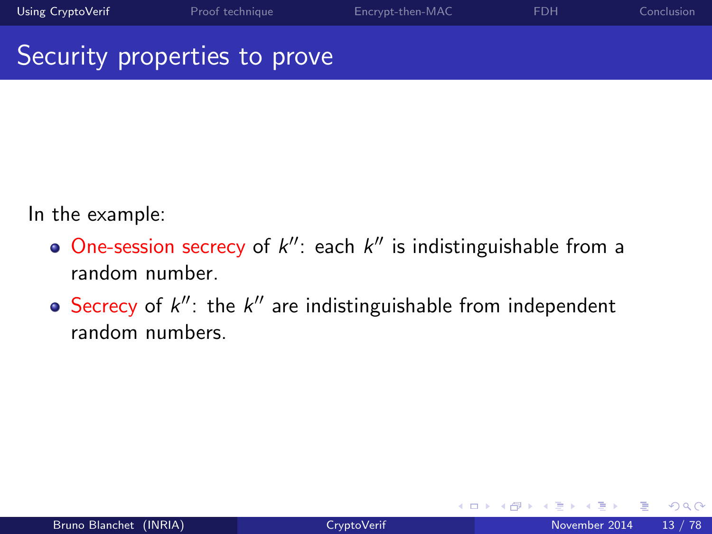### Security properties to prove

In the example:

- One-session secrecy of  $k''$ : each  $k''$  is indistinguishable from a random number.
- Secrecy of  $k''$ : the  $k''$  are indistinguishable from independent random numbers.

4 0 8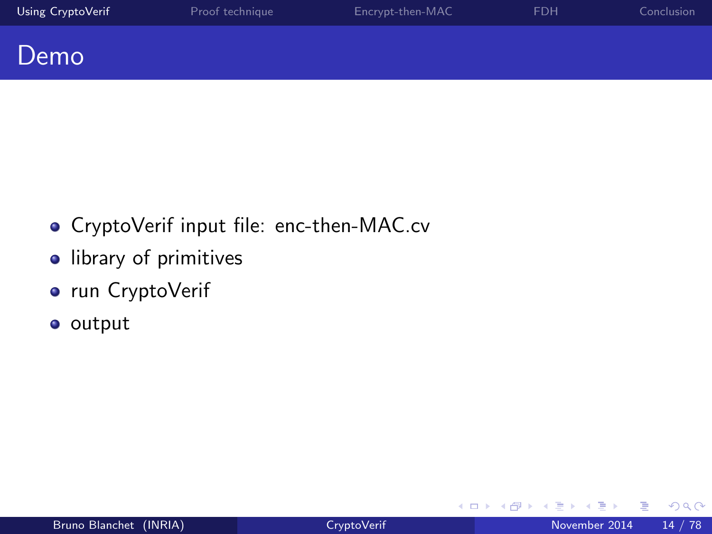- CryptoVerif input file: enc-then-MAC.cv
- **·** library of primitives
- run CryptoVerif
- **o** output

÷.

◂**◻▸ ◂<del>ਗ਼</del>▸** 

<span id="page-15-0"></span>э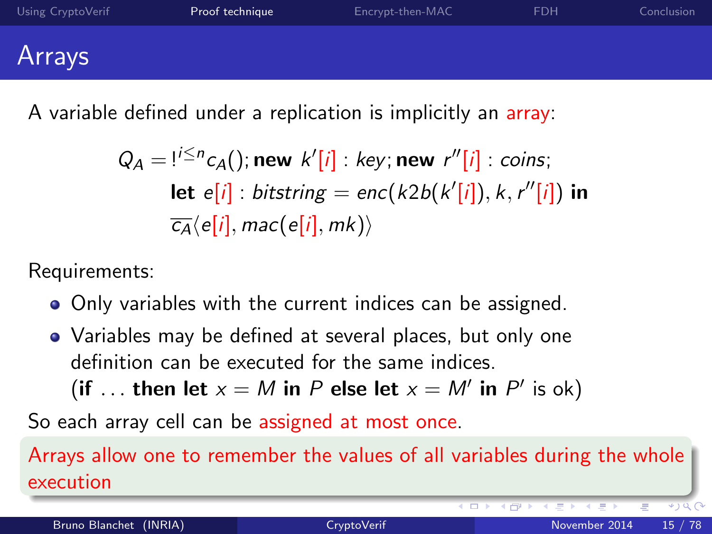| Using CryptoVerif | Proof technique | Encrypt-then-MAC | <b>FDH</b> | Conclusion |
|-------------------|-----------------|------------------|------------|------------|
| <b>Arrays</b>     |                 |                  |            |            |

A variable defined under a replication is implicitly an array:

$$
Q_A = I^{i \le n} c_A(); \text{ new } k'[i]: key; \text{ new } r''[i]: coins;
$$
  
let  $e[i]: bitstring = enc(k2b(k'[i]), k, r''[i]) \text{ in }$   

$$
\overline{c_A} \langle e[i], mac(e[i], mk) \rangle
$$

Requirements:

- Only variables with the current indices can be assigned.
- Variables may be defined at several places, but only one definition can be executed for the same indices. (if ... then let  $x = M$  in P else let  $x = M'$  in P' is ok)

So each array cell can be assigned at most once.

<span id="page-16-0"></span>Arrays allow one to remember the values of all variables during the whole execution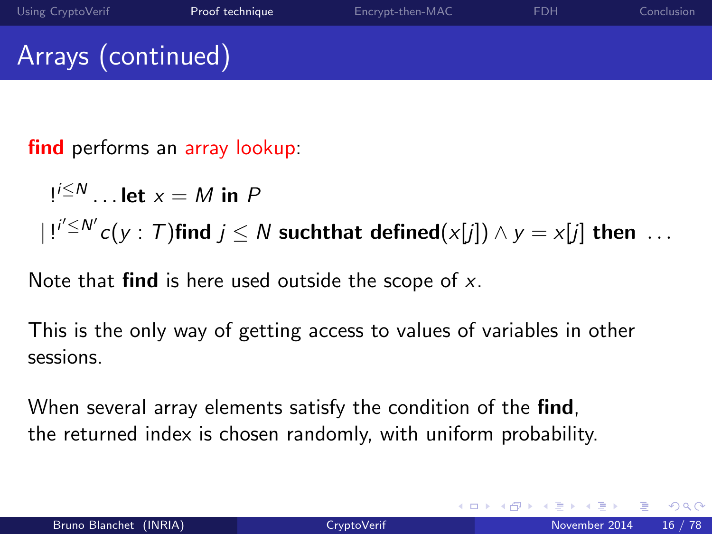find performs an array lookup:

 $1^{i\leq N}$ ... let  $x = M$  in  $P$  $|!^{i'\leq N'}c(y:T)$ find  $j\leq N$  suchthat defined $(x[j])\wedge y=x[j]$  then  $\;\ldots\;$ 

Note that find is here used outside the scope of  $x$ .

This is the only way of getting access to values of variables in other sessions.

When several array elements satisfy the condition of the find, the returned index is chosen randomly, with uniform probability.

∢ □ ▶ ⊰ <sub>□</sub> ▶ ⊰ ∃ ▶ ⊰

 $QQ$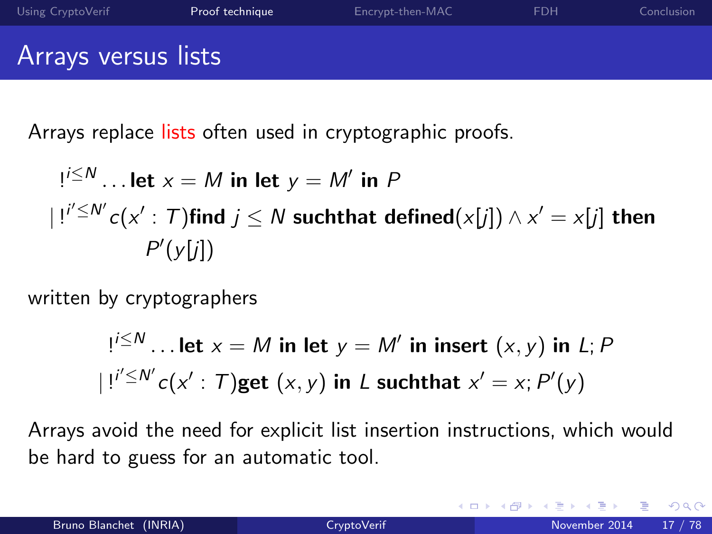Arrays replace lists often used in cryptographic proofs.

$$
!^{i \leq N} \dots
$$
 let  $x = M$  in let  $y = M'$  in  $P$   

$$
|!^{i' \leq N'}c(x': T)
$$
 find  $j \leq N$  such that defined $(x[j]) \wedge x' = x[j]$  then  

$$
P'(y[j])
$$

written by cryptographers

$$
!^{i \leq N}
$$
 ... let  $x = M$  in let  $y = M'$  in insert  $(x, y)$  in  $L; P$   
 $!^{i' \leq N'}c(x': T)$ get  $(x, y)$  in  $L$  such that  $x' = x; P'(y)$ 

Arrays avoid the need for explicit list insertion instructions, which would be hard to guess for an automatic tool.

4 0 8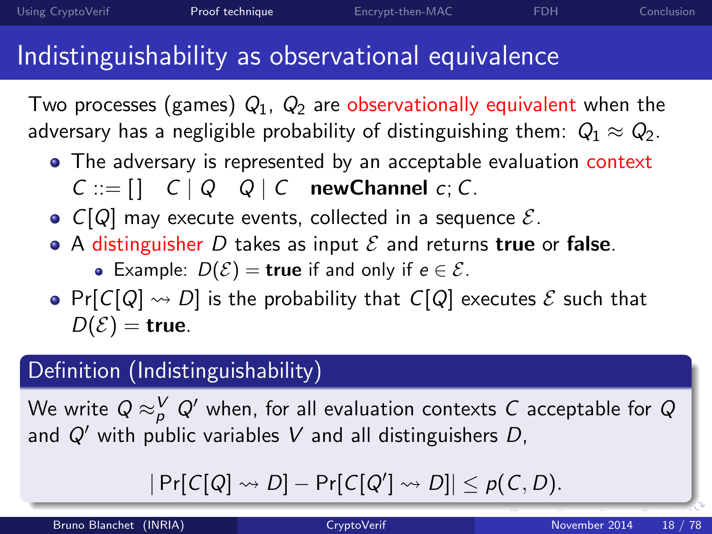### Indistinguishability as observational equivalence

Two processes (games)  $Q_1$ ,  $Q_2$  are observationally equivalent when the adversary has a negligible probability of distinguishing them:  $Q_1 \approx Q_2$ .

- The adversary is represented by an acceptable evaluation context  $C ::= [$   $C | Q Q Q | C$  new Channel c; C.
- $C[Q]$  may execute events, collected in a sequence  $\mathcal{E}$ .
- A distinguisher D takes as input  $\mathcal E$  and returns true or false.
	- Example:  $D(\mathcal{E}) =$  true if and only if  $e \in \mathcal{E}$ .
- Pr $[C[Q] \leadsto D]$  is the probability that  $C[Q]$  executes  $\mathcal E$  such that  $D(\mathcal{E}) =$  true.

### Definition (Indistinguishability)

We write  $Q \approx^\textit{V}_\rho Q'$  when, for all evaluation contexts  $C$  acceptable for  $Q$ and  $Q'$  with public variables V and all distinguishers D,

$$
|\Pr[C[Q] \leadsto D] - \Pr[C[Q'] \leadsto D]| \leq p(C,D).
$$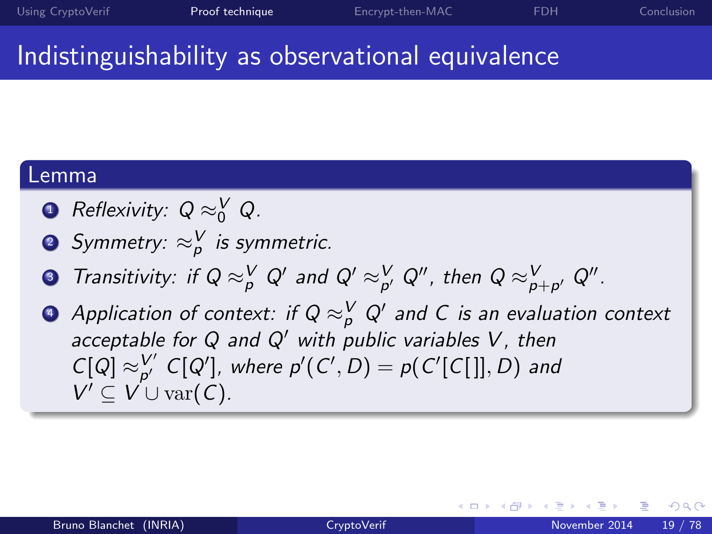### Indistinguishability as observational equivalence

#### Lemma

- $\bf{D}$  Reflexivity: Q  $\approx_0^V Q$ .
- $\bullet$  Symmetry:  $\approx^\mathsf{V}_\mathsf{p}$  is symmetric.
- $\bullet$  Transitivity: if  $Q \approx^\mathsf{V}_\mathsf{p} Q'$  and  $Q' \approx^\mathsf{V}_{\mathsf{p}'} Q'',$  then  $Q \approx^\mathsf{V}_{\mathsf{p}+\mathsf{p}'} Q''.$
- $\bullet$  Application of context: if  $\mathsf{Q} \approx^\mathsf{V}_\mathsf{p} \mathsf{Q}'$  and  $\mathsf{C}$  is an evaluation context acceptable for  $Q$  and  $Q'$  with public variables  $V$ , then  $C[Q] \approx_{p'}^{V'} C[Q'],$  where  $p'(C', D) = p(C'[C]], D)$  and  $V' \subseteq V \cup \text{var}(\mathcal{C}).$

4 0 8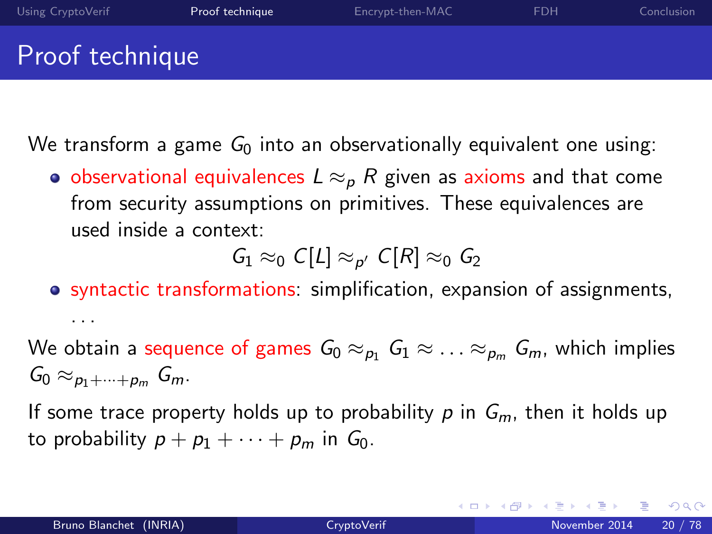We transform a game  $G_0$  into an observationally equivalent one using:

• observational equivalences  $L \approx_{p} R$  given as axioms and that come from security assumptions on primitives. These equivalences are used inside a context:

 $G_1 \approx_0 C[L] \approx_{\rho'} C[R] \approx_0 G_2$ 

• syntactic transformations: simplification, expansion of assignments, . . .

We obtain a sequence of games  $G_0 \approx_{p_1} G_1 \approx \ldots \approx_{p_m} G_m$ , which implies  $G_0 \approx_{p_1+\cdots+p_m} G_m$ .

If some trace property holds up to probability p in  $G_m$ , then it holds up to probability  $p + p_1 + \cdots + p_m$  in  $G_0$ .

 $QQ$ 

イロト イ部 トイヨ トイヨト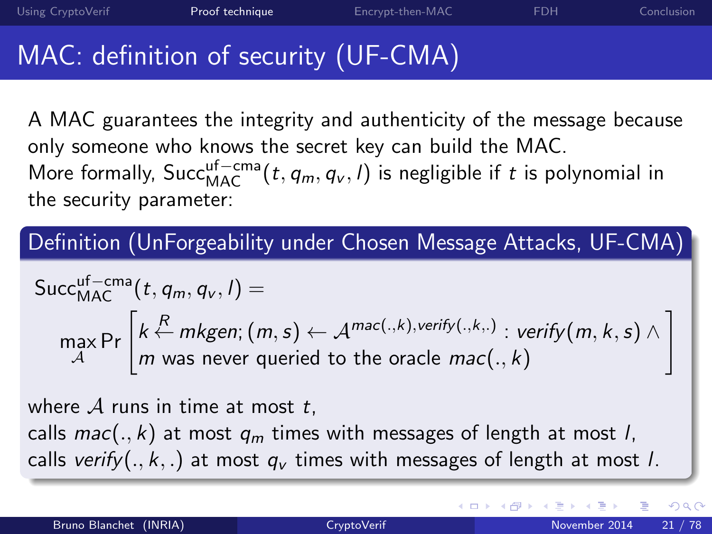# MAC: definition of security (UF-CMA)

A MAC guarantees the integrity and authenticity of the message because only someone who knows the secret key can build the MAC. More formally,  $\text{Succ}_{\text{MAC}}^{\text{uf-cma}}(t, q_m, q_v, l)$  is negligible if t is polynomial in the security parameter:

Definition (UnForgeability under Chosen Message Attacks, UF-CMA)

$$
\begin{aligned}\n\text{Succ}^{\text{uf-cma}}_{\text{MAC}}(t, q_m, q_v, l) &= \\
&\max_{A} \Pr\left[k \stackrel{R}{\leftarrow} m \text{kgen}; (m, s) \leftarrow A^{mac(., k), verify(., k, .)} : verify(m, k, s) \land \newline m \text{ was never queried to the oracle } mac(., k)\n\end{aligned}\right\}
$$

where  $A$  runs in time at most  $t$ ,

calls  $mac(., k)$  at most  $q_m$  times with messages of length at most *l*, calls verify(., k, .) at most  $q_v$  times with messages of length at most l.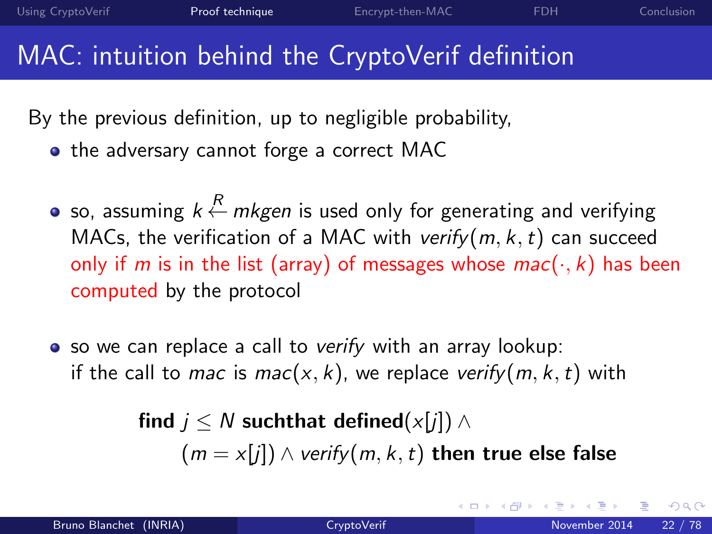# MAC: intuition behind the CryptoVerif definition

By the previous definition, up to negligible probability,

- the adversary cannot forge a correct MAC
- so, assuming  $k \stackrel{R}{\leftarrow} m$ kgen is used only for generating and verifying MACs, the verification of a MAC with verify( $m, k, t$ ) can succeed only if m is in the list (array) of messages whose  $mac(\cdot, k)$  has been computed by the protocol
- so we can replace a call to verify with an array lookup: if the call to *mac* is  $mac(x, k)$ , we replace verify $(m, k, t)$  with

find  $j \leq N$  suchthat defined(x[j]) ∧  $(m = x[j]) \wedge verify(m, k, t)$  then true else false

<span id="page-23-0"></span>K □ ▶ K @ ▶ K ミ ▶ K ミ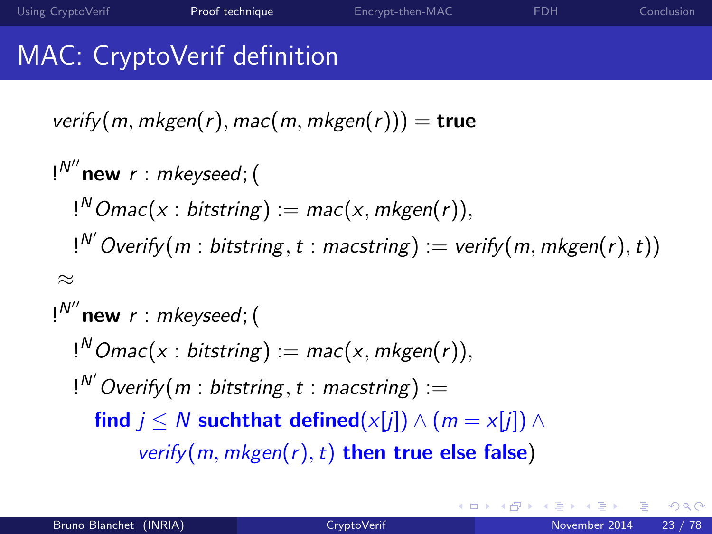

$$
!^{N''}
$$
new  $r : m$ keyseed;  
\n
$$
!^{N}
$$
Omac(x : bitstring) := mac(x, mkgen(r)),  
\n
$$
!^{N'}
$$
Overify(m : bitstring, t : macstring) := verify(m, mkgen(r), t))  
\n
$$
\approx
$$
  
\n
$$
!^{N''}
$$
new  $r : m$ keyseed;  
\n
$$
!^{N}
$$
Omac(x : bitstring) := mac(x, mkgen(r)),  
\n
$$
!^{N'}
$$
Overify(m : bitstring, t : macstring) :=

find  $j \leq N$  such that defined $(x[j]) \wedge (m = x[j]) \wedge$ verify(m, mkgen(r), t) then true else false)

∢ □ ▶ ⊣ n □ ▶

<span id="page-24-0"></span> $QQ$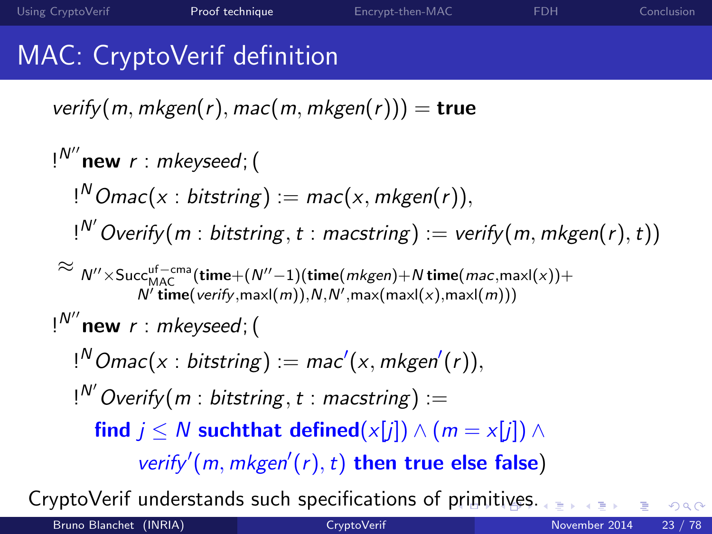<span id="page-25-0"></span>

# MAC: CryptoVerif definition

verify(m, mkgen(r), mac(m, mkgen(r))) = true

N<sup>00</sup> ! new r : mkeyseed; ( <sup>N</sup>Omac(x : bitstring) := mac(x, mkgen(r)), ! N0 ! Overify(m : bitstring,t : macstring) := verify(m, mkgen(r),t)) ≈ <sup>N</sup>00×Succuf−cma MAC (time+(N00−1)(time(mkgen)+<sup>N</sup> time(mac,maxl(x))+ N0 time(verify,maxl(m)),N,N<sup>0</sup> ,max(maxl(x),maxl(m))) N<sup>00</sup> ! new r : mkeyseed; ( <sup>N</sup>Omac(x : bitstring) := mac<sup>0</sup> (x, mkgen<sup>0</sup> ! (r)), N0 ! Overify(m : bitstring,t : macstring) := find j ≤ N suchthat defined(x[j]) ∧ (m = x[j]) ∧ verify<sup>0</sup> (m, mkgen<sup>0</sup> (r),t) then true else false) CryptoVerif understands such specifications of [pri](#page-24-0)[mi](#page-26-0)[ti](#page-23-0)[v](#page-24-0)[e](#page-25-0)[s.](#page-26-0)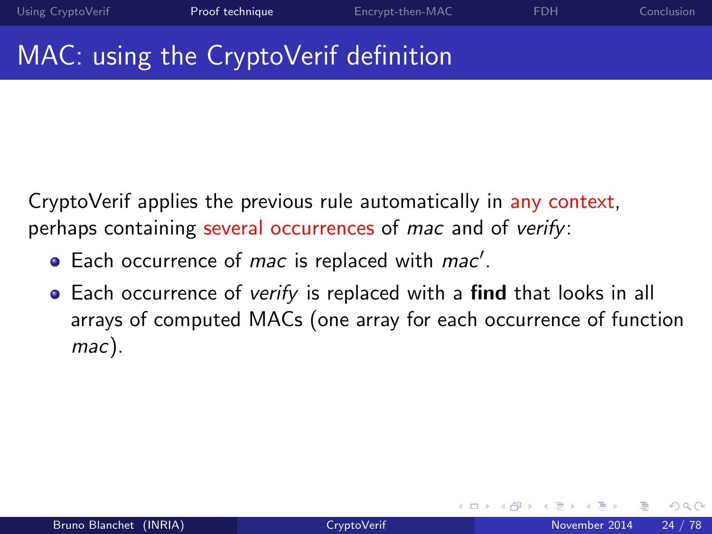# MAC: using the CryptoVerif definition

CryptoVerif applies the previous rule automatically in any context, perhaps containing several occurrences of *mac* and of *verify*:

- Each occurrence of mac is replaced with mac'.
- Each occurrence of *verify* is replaced with a **find** that looks in all arrays of computed MACs (one array for each occurrence of function mac).

<span id="page-26-0"></span>4 0 8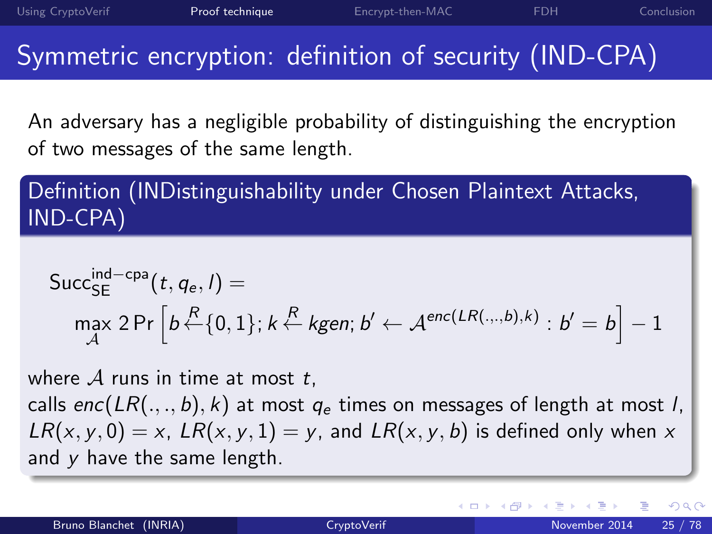An adversary has a negligible probability of distinguishing the encryption of two messages of the same length.

Definition (INDistinguishability under Chosen Plaintext Attacks, IND-CPA)

$$
\begin{aligned} \text{Succ}_{\mathsf{SE}}^{\mathsf{ind-cpa}}(t, q_e, l) &= \\ \max_{\mathcal{A}} 2 \Pr\left[b \stackrel{R}{\leftarrow} \{0, 1\}; k \stackrel{R}{\leftarrow} \textit{kgen}; b' \leftarrow \mathcal{A}^{\mathsf{enc}(LR(., . , b), k)}: b' = b\right] - 1 \end{aligned}
$$

where  $A$  runs in time at most  $t$ ,

calls enc(LR( $..., b$ ), k) at most  $q_e$  times on messages of length at most l,  $LR(x, y, 0) = x$ ,  $LR(x, y, 1) = y$ , and  $LR(x, y, b)$  is defined only when x and y have the same length.

4 D F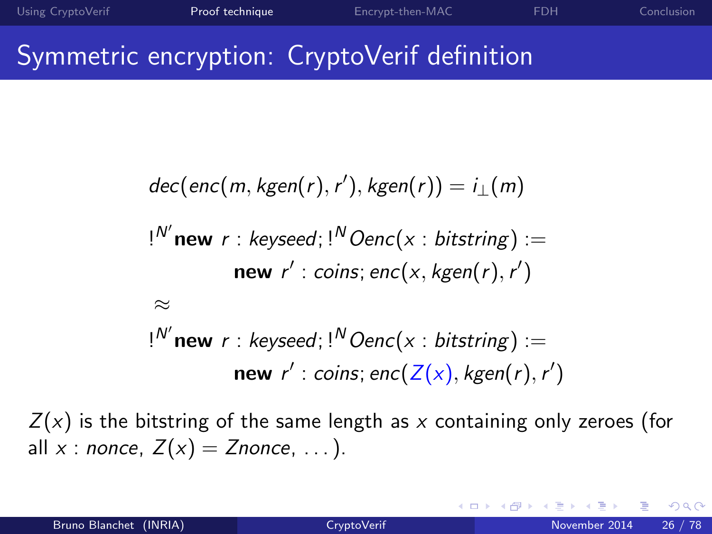## Symmetric encryption: CryptoVerif definition

$$
dec(enc(m, kgen(r), r'), kgen(r)) = i_{\perp}(m)
$$
  
\n
$$
!^{N'}
$$
**new**  $r : keyseed; !^{N}Oenc(x : bitstring) :=$   
\n
$$
new r' : coins; enc(x, kgen(r), r')
$$
  
\n
$$
\approx
$$
  
\n
$$
!^{N'}
$$
**new**  $r : keyseed; !^{N}Oenc(x : bitstring) :=$   
\n
$$
new r' : coins; enc(Z(x), kgen(r), r')
$$

 $Z(x)$  is the bitstring of the same length as x containing only zeroes (for all x : nonce,  $Z(x) = Z$ nonce, ...).

4 D F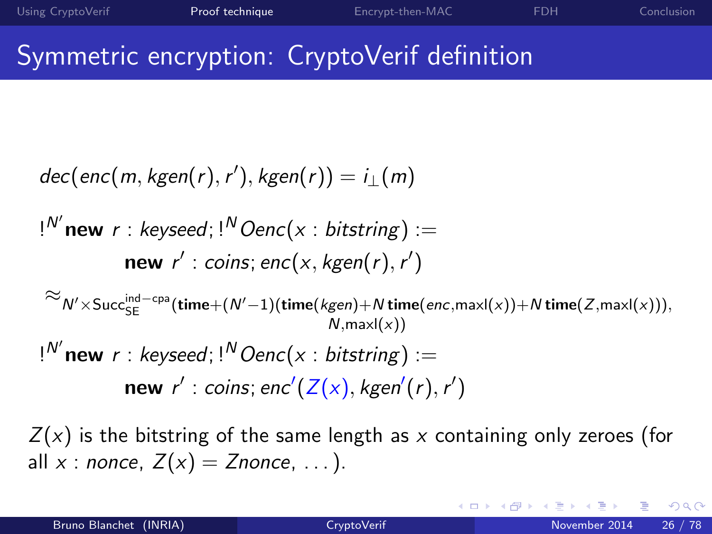### Symmetric encryption: CryptoVerif definition

$$
dec(enc(m, kgen(r), r'), kgen(r)) = i_{\perp}(m)
$$

$$
!^{N'}
$$
**new**  $r : keyseed; !^N$ *Onec(x : bitstring) :=*  
**new**  $r' : coins; enc(x, kgen(r), r')$   

$$
\approx_{N' \times \text{Succ}_{SE}^{\text{ind-cpa}}(\text{time} + (N'-1)(\text{time}(kgen) + N \text{time}(enc, maxl(x)) + N \text{time}(Z, maxl(x)) ),
$$

$$
!^{N'}
$$
**new**  $r : keyseed; !^N$ *Onec(x : bitstring) :=*  
**new**  $r' : coins; enc'(Z(x), kgen'(r), r')$ 

 $Z(x)$  is the bitstring of the same length as x containing only zeroes (for all x : nonce,  $Z(x) = Z$ nonce, ...).

∢ □ ▶ ⊣ n □ ▶

 $QQ$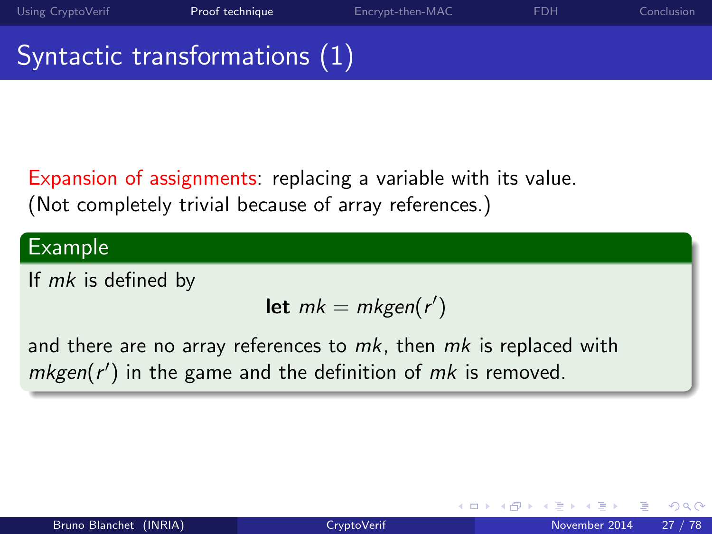## Syntactic transformations (1)

Expansion of assignments: replacing a variable with its value. (Not completely trivial because of array references.)

#### Example

If  $mk$  is defined by

$$
let \, mk = mkgen(r')
$$

and there are no array references to  $mk$ , then  $mk$  is replaced with  $mkgen(r')$  in the game and the definition of  $mk$  is removed.

4 0 8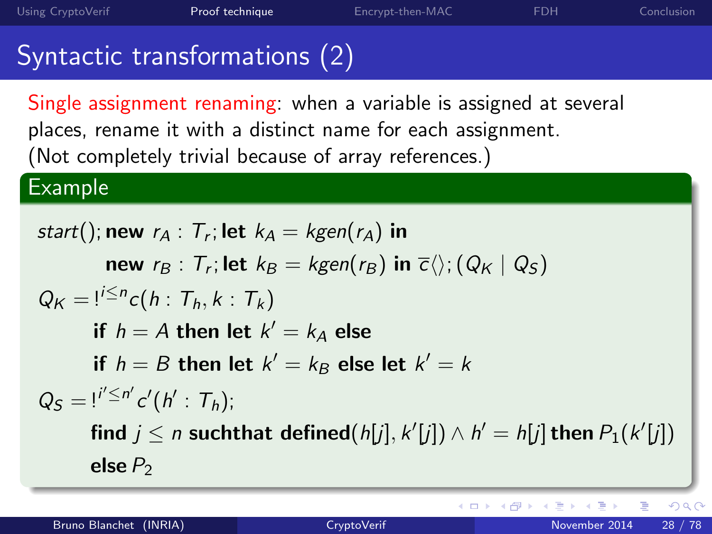4 0 8 → 何 ▶

# Syntactic transformations (2)

Single assignment renaming: when a variable is assigned at several places, rename it with a distinct name for each assignment. (Not completely trivial because of array references.)

### Example

start(); new 
$$
r_A : T_r
$$
; let  $k_A = kgen(r_A)$  in  
\nnew  $r_B : T_r$ ; let  $k_B = kgen(r_B)$  in  $\overline{c} \langle \rangle$ ;  $(Q_K | Q_S)$   
\n $Q_K = \frac{i}{2} \cdot c(h : T_h, k : T_k)$   
\nif  $h = A$  then let  $k' = k_A$  else  
\nif  $h = B$  then let  $k' = k_B$  else let  $k' = k$   
\n $Q_S = \frac{i'^{\prime} \le n' c'(h' : T_h)}{h} \text{; find } j \le n \text{ such that defined } (h[j], k'[j]) \wedge h' = h[j] \text{ then } P_1(k'[j])$   
\nelse  $P_2$ 

 $QQ$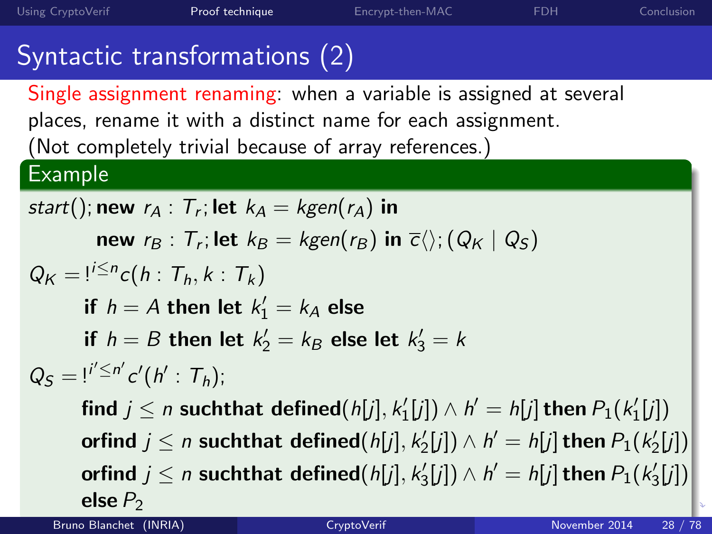# Syntactic transformations (2)

Single assignment renaming: when a variable is assigned at several places, rename it with a distinct name for each assignment. (Not completely trivial because of array references.)

### Example

start(); new 
$$
r_A : T_r
$$
; let  $k_A = kgen(r_A)$  in  
\nnew  $r_B : T_r$ ; let  $k_B = kgen(r_B)$  in  $\overline{c} \langle \rangle$ ;  $(Q_K | Q_S)$   
\n $Q_K = \frac{1}{2} \cdot r_G(h : T_h, k : T_k)$   
\nif  $h = A$  then let  $k'_1 = k_A$  else  
\nif  $h = B$  then let  $k'_2 = k_B$  else let  $k'_3 = k$   
\n $Q_S = \frac{1}{2} \cdot r_G'(h' : T_h)$ ;  
\nfind  $j \le n$  such that defined  $(h[j], k'_1[j]) \wedge h' = h[j]$  then  $P_1(k'_1[j])$   
\n $orfind \ j \le n$  such that defined  $(h[j], k'_2[j]) \wedge h' = h[j]$  then  $P_1(k'_2[j])$   
\n $orfind \ j \le n$  such that defined  $(h[j], k'_3[j]) \wedge h' = h[j]$  then  $P_1(k'_3[j])$   
\nelse  $P_2$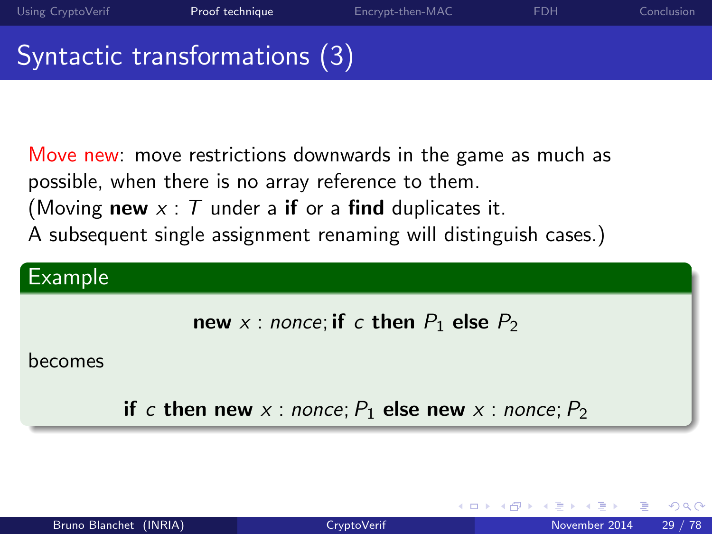# Syntactic transformations (3)

Move new: move restrictions downwards in the game as much as possible, when there is no array reference to them. (Moving new  $x : T$  under a if or a find duplicates it. A subsequent single assignment renaming will distinguish cases.)

### Example

```
new x : nonce; if c then P_1 else P_2
```
becomes

if c then new x : nonce;  $P_1$  else new x : nonce;  $P_2$ 

4 0 8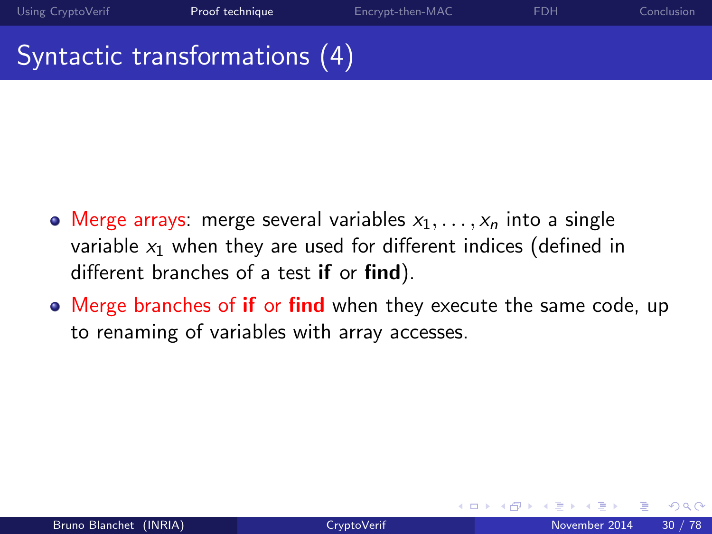### Syntactic transformations (4)

- Merge arrays: merge several variables  $x_1, \ldots, x_n$  into a single variable  $x_1$  when they are used for different indices (defined in different branches of a test if or find).
- Merge branches of if or find when they execute the same code, up to renaming of variables with array accesses.

4 0 8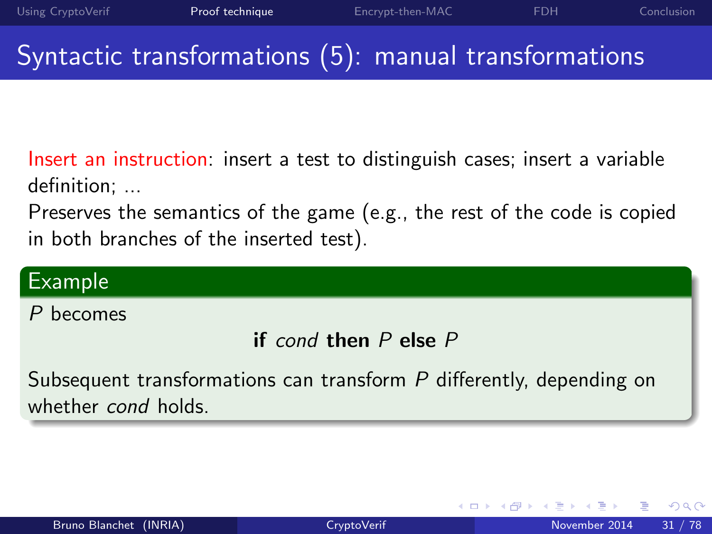# Syntactic transformations (5): manual transformations

Insert an instruction: insert a test to distinguish cases; insert a variable definition; ...

Preserves the semantics of the game (e.g., the rest of the code is copied in both branches of the inserted test).

### Example

P becomes

if cond then P else P

Subsequent transformations can transform P differently, depending on whether *cond* holds.

4 0 8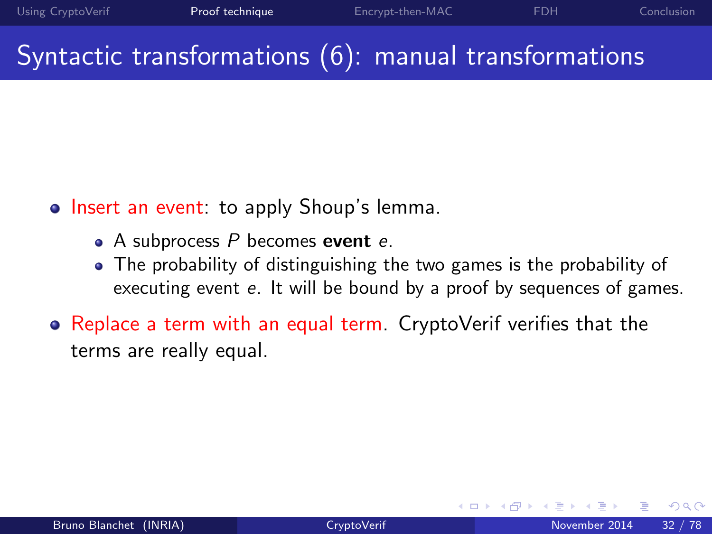# Syntactic transformations (6): manual transformations

- Insert an event: to apply Shoup's lemma.
	- A subprocess  $P$  becomes event  $e$ .
	- The probability of distinguishing the two games is the probability of executing event e. It will be bound by a proof by sequences of games.
- Replace a term with an equal term. CryptoVerif verifies that the terms are really equal.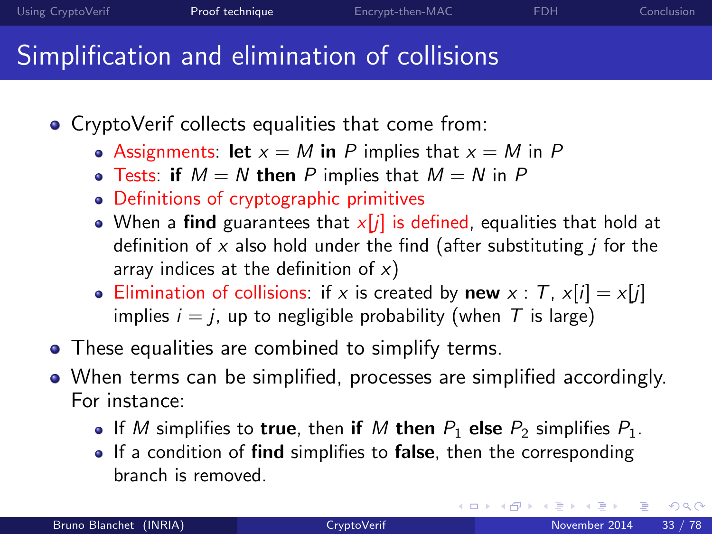# Simplification and elimination of collisions

- CryptoVerif collects equalities that come from:
	- Assignments: let  $x = M$  in P implies that  $x = M$  in P
	- Tests: if  $M = N$  then P implies that  $M = N$  in P
	- Definitions of cryptographic primitives
	- When a find guarantees that  $x[j]$  is defined, equalities that hold at definition of  $x$  also hold under the find (after substituting  $\overline{j}$  for the array indices at the definition of  $x$ )
	- Elimination of collisions: if x is created by new  $x : T$ ,  $x[i] = x[j]$ implies  $i = j$ , up to negligible probability (when T is large)
- These equalities are combined to simplify terms.
- When terms can be simplified, processes are simplified accordingly. For instance:
	- If M simplifies to true, then if M then  $P_1$  else  $P_2$  simplifies  $P_1$ .
	- $\bullet$  If a condition of find simplifies to false, then the corresponding branch is removed.

<span id="page-37-0"></span> $\Omega$ 

イロト イ押 トイヨト イヨ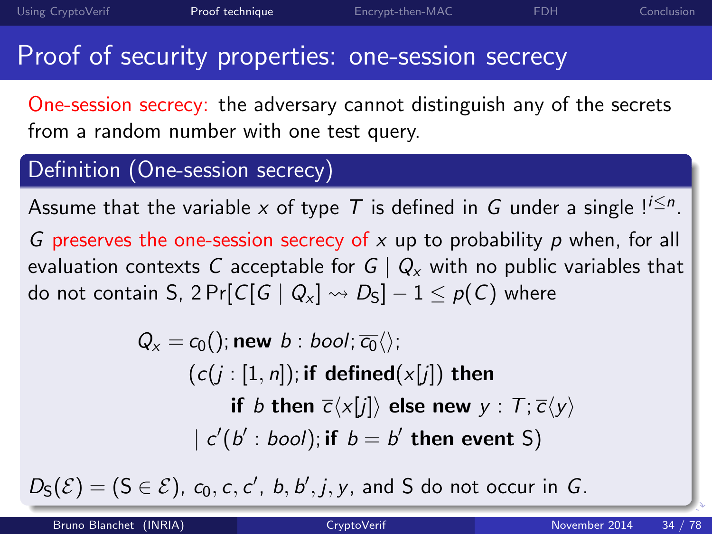## Proof of security properties: one-session secrecy

One-session secrecy: the adversary cannot distinguish any of the secrets from a random number with one test query.

#### Definition (One-session secrecy)

Assume that the variable x of type  $T$  is defined in  $G$  under a single  $!^{i\leq n}.$ 

G preserves the one-session secrecy of  $x$  up to probability  $p$  when, for all evaluation contexts C acceptable for  $G | Q_x$  with no public variables that do not contain S,  $2 Pr[C|G | Q_x] \rightsquigarrow D<sub>S</sub>] - 1 \le p(C)$  where

<span id="page-38-0"></span>
$$
Q_x = c_0(); \text{ new } b : bool; \overline{c_0} \langle \rangle;
$$
  
\n(*c*(*j* : [1, *n*]); **if defined**(*x*[*j*]) **then**  
\n**if** *b* **then**  $\overline{c} \langle x[j] \rangle$  **else new** *y* : *T*;  $\overline{c} \langle y \rangle$   
\n| *c'*(*b'* : *bool*); **if** *b* = *b'* **then event** S)

 $D_{\mathsf{S}}(\mathcal{E}) = (\mathsf{S} \in \mathcal{E})$  $D_{\mathsf{S}}(\mathcal{E}) = (\mathsf{S} \in \mathcal{E})$  $D_{\mathsf{S}}(\mathcal{E}) = (\mathsf{S} \in \mathcal{E})$  $D_{\mathsf{S}}(\mathcal{E}) = (\mathsf{S} \in \mathcal{E})$  $D_{\mathsf{S}}(\mathcal{E}) = (\mathsf{S} \in \mathcal{E})$ ,  $c_0, c, c', b, b', j, y$ , and  $\mathsf{S}$  do [no](#page-37-0)t [o](#page-39-0)cc[u](#page-39-0)[r](#page-40-0) [i](#page-15-0)n  $G$ [.](#page-15-0)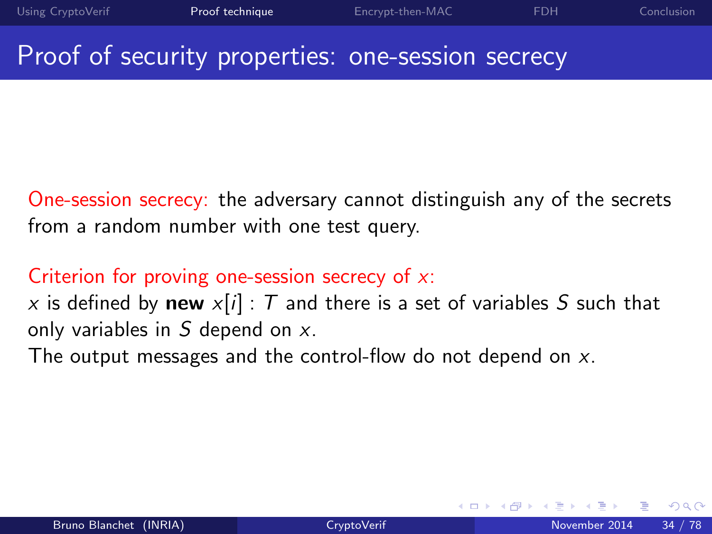### Proof of security properties: one-session secrecy

One-session secrecy: the adversary cannot distinguish any of the secrets from a random number with one test query.

#### Criterion for proving one-session secrecy of  $x$ :

x is defined by new  $x[i]$ : T and there is a set of variables S such that only variables in  $S$  depend on  $x$ .

<span id="page-39-0"></span>The output messages and the control-flow do not depend on  $x$ .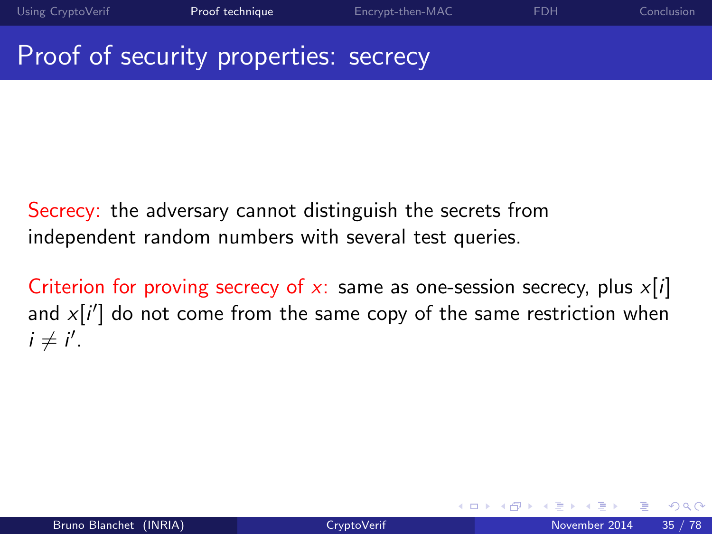## Proof of security properties: secrecy

Secrecy: the adversary cannot distinguish the secrets from independent random numbers with several test queries.

<span id="page-40-0"></span>Criterion for proving secrecy of x: same as one-session secrecy, plus  $x[i]$ and  $x[i']$  do not come from the same copy of the same restriction when  $i \neq i'$ .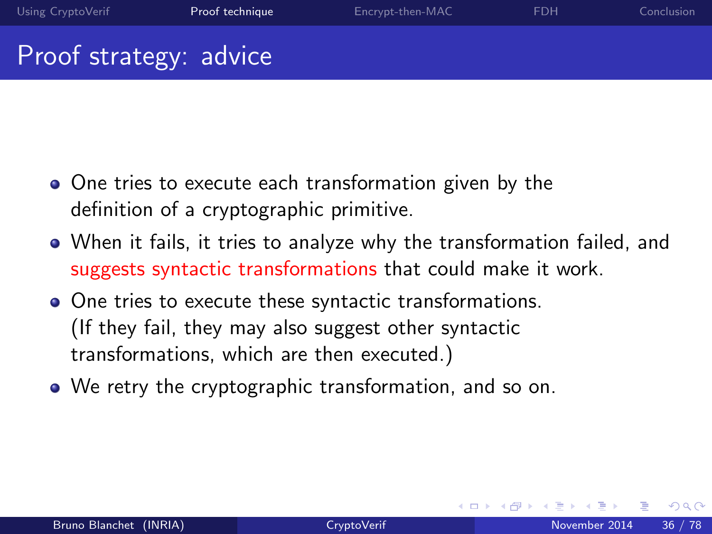## Proof strategy: advice

- One tries to execute each transformation given by the definition of a cryptographic primitive.
- When it fails, it tries to analyze why the transformation failed, and suggests syntactic transformations that could make it work.
- One tries to execute these syntactic transformations. (If they fail, they may also suggest other syntactic transformations, which are then executed.)
- We retry the cryptographic transformation, and so on.

<span id="page-41-0"></span>4 0 8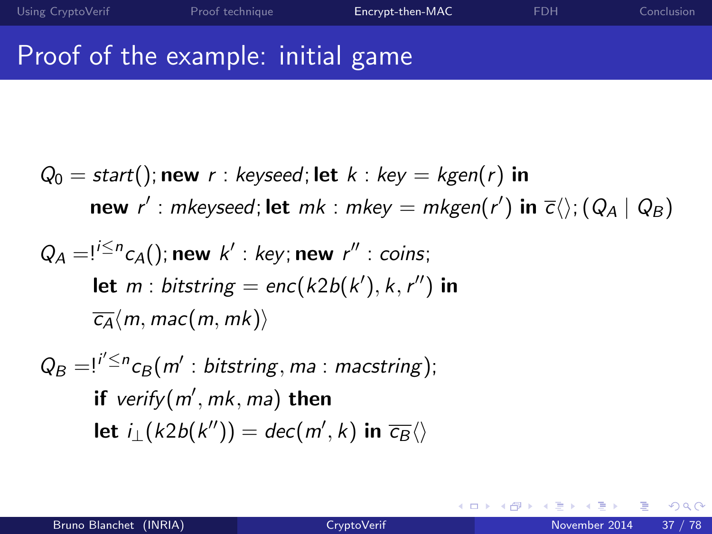### Proof of the example: initial game

$$
Q_0 = start(); \text{new } r : key = \text{key} = kgen(r) \text{ in}
$$
  
new  $r' : mkey = mkey = mkgen(r')$  in  $\overline{c}\langle \rangle$ ;  $(Q_A | Q_B)$ 

$$
Q_A = I^{i \leq n} c_A(); \text{ new } k': \text{ key; new } r'': \text{ coins;}
$$
  
let  $m: \text{ bitstring} = \text{enc}(k2b(k'), k, r'')$  in  
 $\overline{c_A}\langle m, mac(m, mk)\rangle$ 

 $Q_B = !^{i' \le n} c_B(m' : \text{bitstring}, \text{ma} : \text{maxstring});$ if  $verify(m', mk, ma)$  then let  $i_{\perp}$ (k2b(k")) = dec(m', k) in  $\overline{c_B}\langle\rangle$ 

4 0 8

<span id="page-42-0"></span> $299$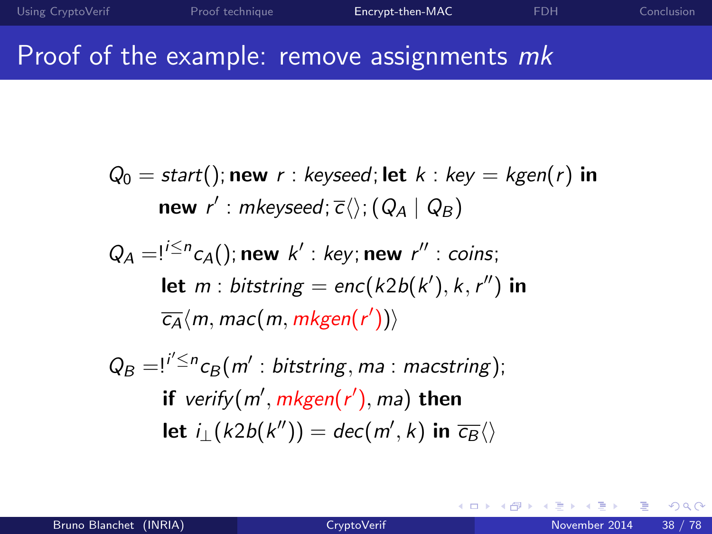#### Proof of the example: remove assignments mk

$$
Q_0 = start(); \text{new } r : key = \text{key } k : key = \text{kgen}(r) \text{ in}
$$
  
new  $r' : m \text{key } s = d; \overline{c} \langle \rangle; (Q_A | Q_B)$ 

$$
Q_A = I^{i \le n} c_A(); \text{ new } k': \text{key; new } r'': \text{ coins;}
$$
  
let  $m: \text{ bitstring} = \text{enc}(k2b(k'), k, r'')$  in  

$$
\overline{c_A}(m, \text{mac}(m, \text{mkgen}(r')))
$$

 $Q_B = !^{i' \le n} c_B(m' : \text{bitstring}, \text{ma} : \text{maxstring});$ if  $\mathit{verify}(m', \mathit{mkgen}(r'), \mathit{ma})$  then let  $i_{\perp}$ (k2b(k")) = dec(m', k) in  $\overline{c_B}\langle\rangle$ 

<span id="page-43-0"></span>4 0 8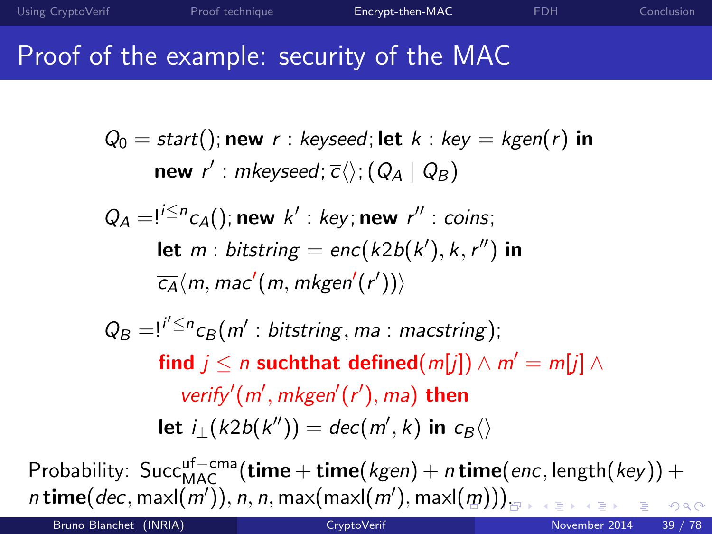$$
Q_0 = start(); \text{ new } r : key = \text{key} = kgen(r) \text{ in} \n\text{new } r' : mkeyseed; \overline{c} \langle \rangle; (Q_A \mid Q_B)
$$

$$
Q_A = I^{i \leq n} c_A(); \text{ new } k': \text{key; new } r'': \text{ coins;}
$$
  
let  $m: \text{ bitstring} = enc(k2b(k'), k, r'')$  in  

$$
\overline{c_A}\langle m, mac'(m, mkgen'(r'))\rangle
$$

<span id="page-44-0"></span> $Q_B = !^{i' \leq n} c_B(m' : \text{bitstring}, \text{ma} : \text{maxstring});$ find  $j\leq n$  suchthat defined $(\overline{m[j]})\wedge\overline{m'}=\overline{m[j]}\wedge\overline{m}$ verify'( $m'$ ,  $mkgen'(r')$ ,  $ma)$  then let  $i_{\perp} (k 2 b(k'')) = dec(m',k)$  in  $\overline{c_B} \langle \rangle$ 

Probability:  $Succ^{uf-cma}_{MAC}(\textbf{time} + \textbf{time}(kgen) + n \textbf{time}(enc, \text{length}(key)) +$  $n$  time( $dec$ , maxl $(m')$  $(m')$ ),  $n$ ,  $n$ , max(max[l\(](#page-43-0) $m'$ ), maxl( $m$ [\)\)](#page-45-0)),  $2990$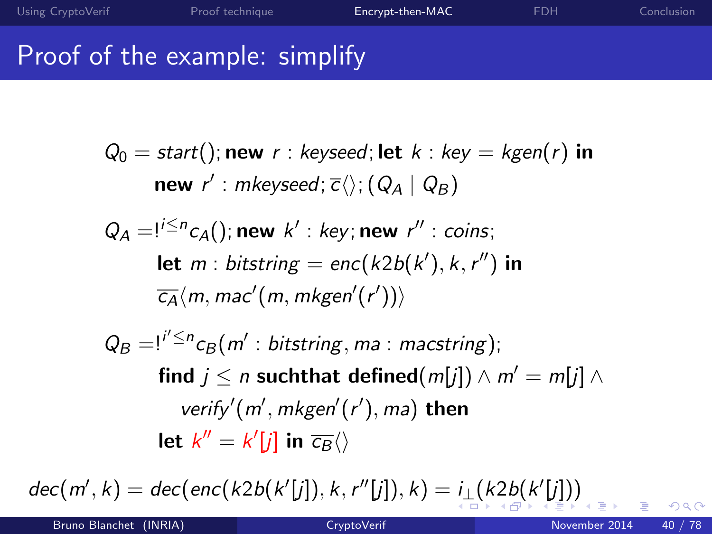## Proof of the example: simplify

 $Q_0 = start()$ ; new r : keyseed; let k : key = kgen(r) in  $\bm{{\mathsf{new}}}\;$  r'  $:$   $mk$ eyseed;  $\overline{c}\langle\rangle$ ;  $(\bm{Q_A}\mid\bm{Q_B})$ 

$$
Q_A = I^{i \le n} c_A(); \text{ new } k': \text{key}; \text{new } r'': \text{ coins};
$$
  
let  $m: \text{ bitstring} = \text{enc}(k2b(k'), k, r'')$  in  
 $\overline{c_A}(m, mac'(m, mkgen'(r')))$ 

$$
Q_B = I^{i' \le n} c_B(m' : bitstring, ma : macstring);
$$
  
find  $j \le n$  such that defined $(m[j]) \wedge m' = m[j] \wedge$   
verify' $(m', mkgen'(r'), ma)$  then  
let  $k'' = k'[j]$  in  $\overline{c_B}\langle$ 

 $dec(m', k) = dec(enc(k2b(k'[j]), k, r''[j]), k) = i_{\perp}(k2b(k'[j]))$  $dec(m', k) = dec(enc(k2b(k'[j]), k, r''[j]), k) = i_{\perp}(k2b(k'[j]))$  $dec(m', k) = dec(enc(k2b(k'[j]), k, r''[j]), k) = i_{\perp}(k2b(k'[j]))$  $dec(m', k) = dec(enc(k2b(k'[j]), k, r''[j]), k) = i_{\perp}(k2b(k'[j]))$  $dec(m', k) = dec(enc(k2b(k'[j]), k, r''[j]), k) = i_{\perp}(k2b(k'[j]))$  $dec(m', k) = dec(enc(k2b(k'[j]), k, r''[j]), k) = i_{\perp}(k2b(k'[j]))$  $dec(m', k) = dec(enc(k2b(k'[j]), k, r''[j]), k) = i_{\perp}(k2b(k'[j]))$  $dec(m', k) = dec(enc(k2b(k'[j]), k, r''[j]), k) = i_{\perp}(k2b(k'[j]))$  $dec(m', k) = dec(enc(k2b(k'[j]), k, r''[j]), k) = i_{\perp}(k2b(k'[j]))$  $dec(m', k) = dec(enc(k2b(k'[j]), k, r''[j]), k) = i_{\perp}(k2b(k'[j]))$  $dec(m', k) = dec(enc(k2b(k'[j]), k, r''[j]), k) = i_{\perp}(k2b(k'[j]))$  $dec(m', k) = dec(enc(k2b(k'[j]), k, r''[j]), k) = i_{\perp}(k2b(k'[j]))$ 

<span id="page-45-0"></span> $QQ$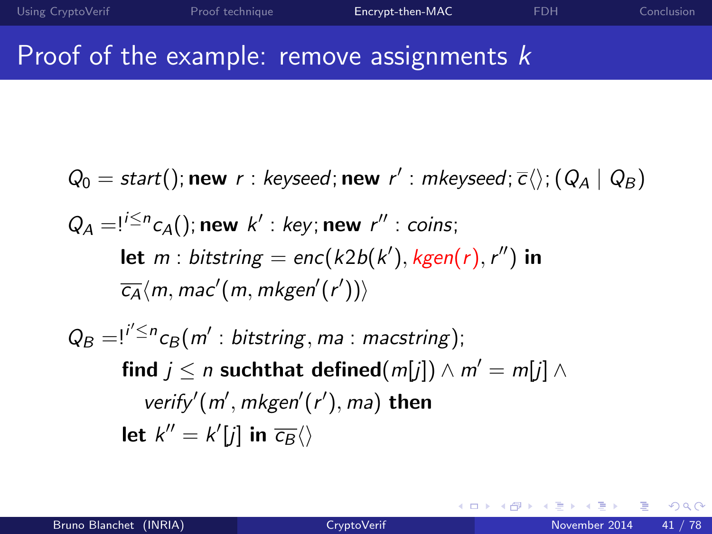### Proof of the example: remove assignments  $k$

$$
Q_0 = start(); \text{ new } r : keyseed; \text{ new } r' : mkeyseed; \overline{c} \langle \rangle; (Q_A | Q_B)
$$
\n
$$
Q_A = \frac{1}{2} \sum_{i=1}^{n} c_A(i); \text{ new } k' : key; \text{ new } r'' : coins;
$$
\nlet  $m : bitstring = enc(k2b(k'), kgen(r), r'')$  in\n
$$
\overline{c_A} \langle m, mac'(m, mkgen'(r')) \rangle
$$
\n
$$
Q_B = \frac{1}{2} \sum_{i=1}^{n} c_B(m' : bitstring, ma : macstring);
$$
\nfind  $j \le n$  such that defined  $(m[j]) \wedge m' = m[j] \wedge$ \nverify'  $(m', mkgen'(r'), ma)$  then\nlet  $k'' = k'[j]$  in  $\overline{c_B} \langle \rangle$ 

≃

э

**4 ロト 4 何 ト** 

<span id="page-46-0"></span> $299$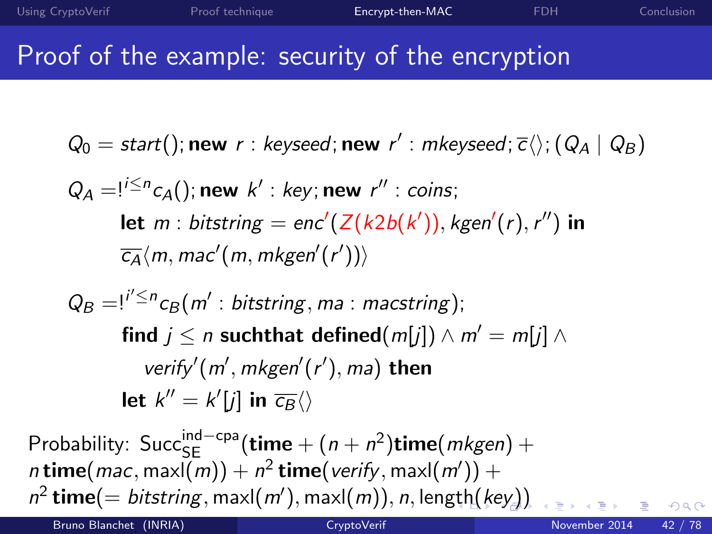#### Proof of the example: security of the encryption

$$
Q_0 = start(); \text{ new } r : \text{keyseed}; \text{new } r' : \text{mkeyseed}; \overline{c} \langle \rangle; (Q_A \mid Q_B)
$$

$$
Q_A = I^{i \leq n} c_A(); \text{ new } k': \text{ key; new } r'': \text{ coins;}
$$
\n
$$
\text{let } m: \text{ bitstring} = \text{enc}'(Z(k2b(k')), \text{ kgen}'(r), r'') \text{ in}
$$
\n
$$
\overline{c_A}\langle m, mac'(m, m\text{ kgen}'(r'))\rangle
$$

$$
Q_B = I^{i' \le n} c_B(m' : bitstring, ma : macstring);
$$
  
find  $j \le n$  such that defined $(m[j]) \wedge m' = m[j] \wedge$   
verify<sup>'</sup> $(m', mkgen'(r'), ma)$  then  
let  $k'' = k'[j]$  in  $\overline{c_B}\langle$ 

<span id="page-47-0"></span>Probability: Succ<sup>ind−cpa</sup>(time +  $(n + n^2)$ time(*mkgen*) + n time(mac, maxl(m)) +  $n^2$  time(verify, maxl(m')) +  $n^2$  time(= bitstring, maxl(m'), maxl(m)), n, len[gth](#page-46-0)([k](#page-48-0)[e](#page-46-0)[y](#page-47-0)[\)](#page-49-0))  $\Omega$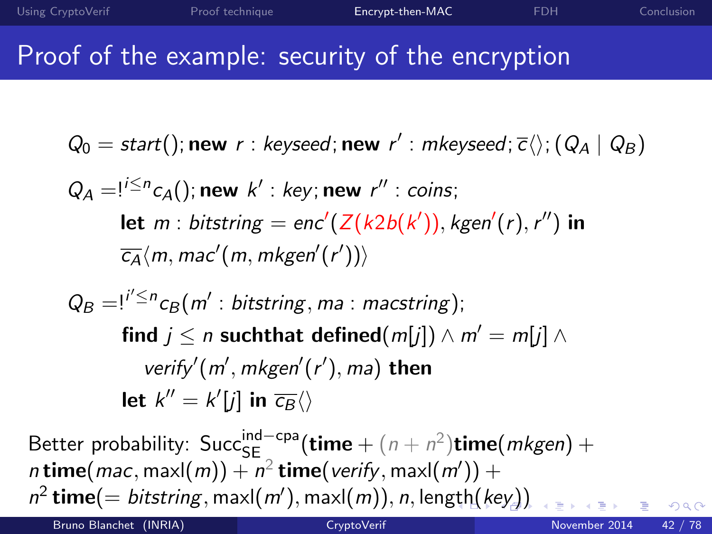#### Proof of the example: security of the encryption

$$
Q_0 = start(); \text{ new } r : \text{keyseed}; \text{new } r' : \text{mkeyseed}; \overline{c} \langle \rangle; (Q_A \mid Q_B)
$$

$$
Q_A = I^{i \leq n} c_A(); \text{ new } k': \text{ key; new } r'' : \text{ coins;}
$$
  
let  $m : \text{ bitstring} = \text{enc}'(Z(k2b(k')), \text{kgen}'(r), r''))$  in  
 $\overline{c_A}\langle m, mac'(m, mkgen'(r'))\rangle$ 

$$
Q_B = I^{i' \le n} c_B(m' : bitstring, ma : macstring);
$$
  
find  $j \le n$  such that defined $(m[j]) \wedge m' = m[j] \wedge$   
verify' $(m', mkgen'(r'), ma)$  then  
let  $k'' = k'[j]$  in  $\overline{c_B}\langle$ 

<span id="page-48-0"></span>Better probability:  $Succ_{SE}^{ind-cpa}$ (time +  $(n + n^2)$ time(*mkgen*) + n time(mac, maxl(m)) +  $n^2$  time(verify, maxl(m')) +  $n^2$  time(= bitstring, maxl(m'), maxl(m)), n, len[gth](#page-47-0)([k](#page-49-0)[e](#page-46-0)[y](#page-47-0)[\)](#page-49-0))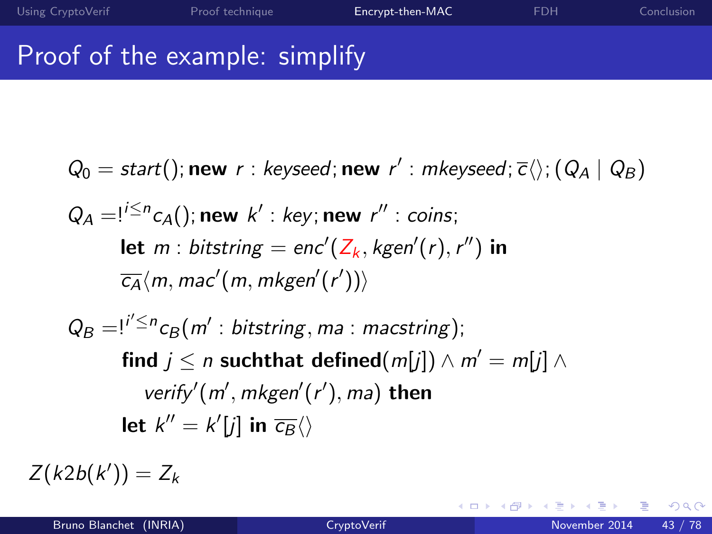### Proof of the example: simplify

$$
Q_0 = start(); \text{ new } r : keyseed; \text{ new } r' : mkeyseed; \overline{c} \langle \rangle; (Q_A | Q_B)
$$
\n
$$
Q_A = \frac{1}{2} \sum_{i=1}^{n} c_A(i); \text{ new } k' : key; \text{ new } r'' : coins;
$$
\nlet  $m : bitstring = enc'(Z_k, kgen'(r), r'')$  in\n
$$
\overline{c_A}\langle m, mac'(m, mkgen'(r'))\rangle
$$
\n
$$
Q_B = \frac{1}{2} \sum_{i=1}^{n} c_B(m' : bitstring, ma : macstring);
$$
\nfind  $j \le n$  such that defined  $(m[j]) \wedge m' = m[j] \wedge$ \nverify'  $(m', mkgen'(r'), ma)$  then\nlet  $k'' = k'[j] \text{ in } \overline{c_B} \langle \rangle$ 

 $Z(k2b(k')) = Z_k$ 

э

Þ

**∢ ロ ≯ ( 伊 )** -

× ∍  $\sim$ × <span id="page-49-0"></span> $299$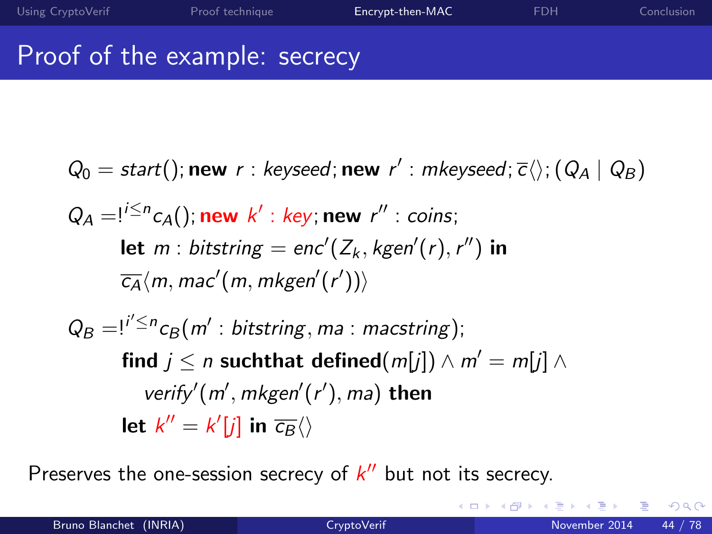## Proof of the example: secrecy

 $Q_0 = start()$ ; new r: keyseed; new r': mkeyseed;  $\overline{c}\langle\rangle$ ;  $(Q_A \mid Q_B)$  $Q_A = I^{i \le n} c_A()$ ; new  $k' : key$ ; new  $r'' : coins$ ; let  $m$  : bitstring  $=$  enc'( $Z_k$ , kgen'(r), r'') in  $\overline{c_A}\langle m, mac'(m, mkgen'(r'))\rangle$  $Q_B = !^{i' \le n} c_B(m' : \text{bitstring}, \text{ma} : \text{maxstring});$ find  $j\leq n$  suchthat defined $(\overline{m[j]})\wedge\overline{m'}=\overline{m[j]}\wedge\overline{m}$ verify'( $m'$ , mkgen'( $r'$ ), ma) then let  $k'' = k' [j]$  in  $\overline{c_B} \langle \rangle$ 

Preserves the one-session secrecy of  $k''$  but not its secrecy.

4 0 8

 $QQ$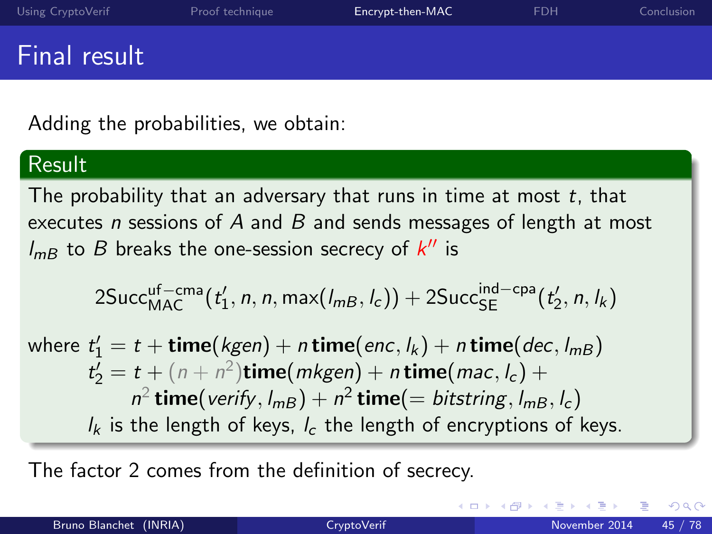#### Adding the probabilities, we obtain:

#### Result

The probability that an adversary that runs in time at most  $t$ , that executes *n* sessions of A and B and sends messages of length at most  $I_{mB}$  to  $B$  breaks the one-session secrecy of  $k''$  is

$$
2\mathsf{Succ}^{\mathsf{uf-cma}}_{\mathsf{MAC}}(\mathit{t}'_1, \mathit{n}, \mathit{n}, \mathsf{max}(\mathit{l}_{\mathsf{mB}}, \mathit{l}_c)) + 2\mathsf{Succ}^{\mathsf{ind-cpa}}_{\mathsf{SE}}(\mathit{t}'_2, \mathit{n}, \mathit{l}_k)
$$

where 
$$
t'_1 = t + \text{time}(kgen) + n \text{time}(enc, l_k) + n \text{time}(dec, l_{mB})
$$
  
\n $t'_2 = t + (n + n^2) \text{time}(mkgen) + n \text{time}(mac, l_c) +$   
\n $n^2 \text{time}(verify, l_{mB}) + n^2 \text{time}(= bitstring, l_{mB}, l_c)$   
\n $l_k$  is the length of keys,  $l_c$  the length of encryptions of keys.

The factor 2 comes from the definition of secrecy.

<span id="page-51-0"></span>4 **D** F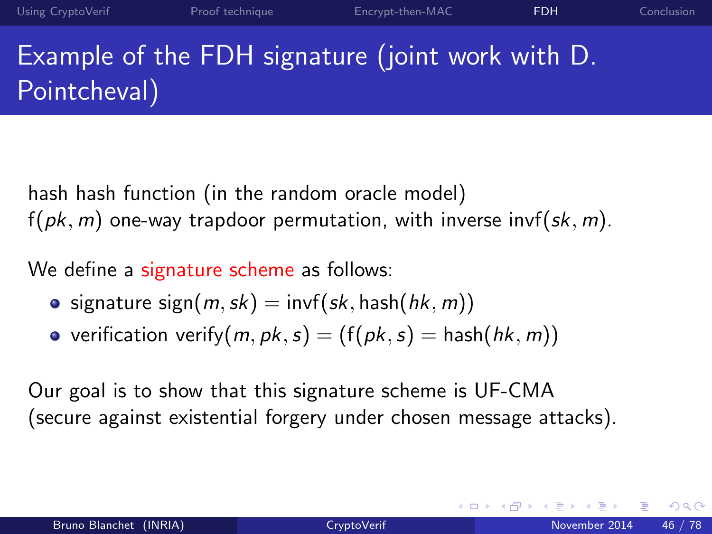# Example of the FDH signature (joint work with D. Pointcheval)

hash hash function (in the random oracle model)  $f(pk, m)$  one-way trapdoor permutation, with inverse invf(sk, m).

We define a signature scheme as follows:

- **•** signature sign $(m, sk) = invf(sk, hash(hk, m))$
- verification verify $(m, pk, s) = (f(pk, s) = hash(hk, m))$

Our goal is to show that this signature scheme is UF-CMA (secure against existential forgery under chosen message attacks).

<span id="page-52-0"></span>4 0 8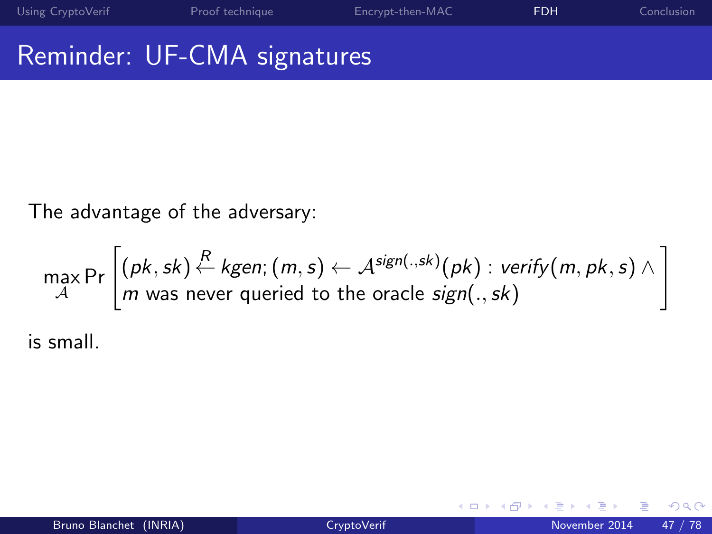## Reminder: UF-CMA signatures

The advantage of the adversary:

$$
\max_{\mathcal{A}} \Pr\left[\begin{matrix}(pk, sk) \leftarrow \text{Kgen}; (m, s) \leftarrow \mathcal{A}^{\text{sign}(., sk)}(pk) : \text{verify}(m, pk, s) \wedge \\ m \text{ was never queried to the oracle sign}(., sk)\end{matrix}\right]\right]
$$

is small.

4 0 8 × э

 $299$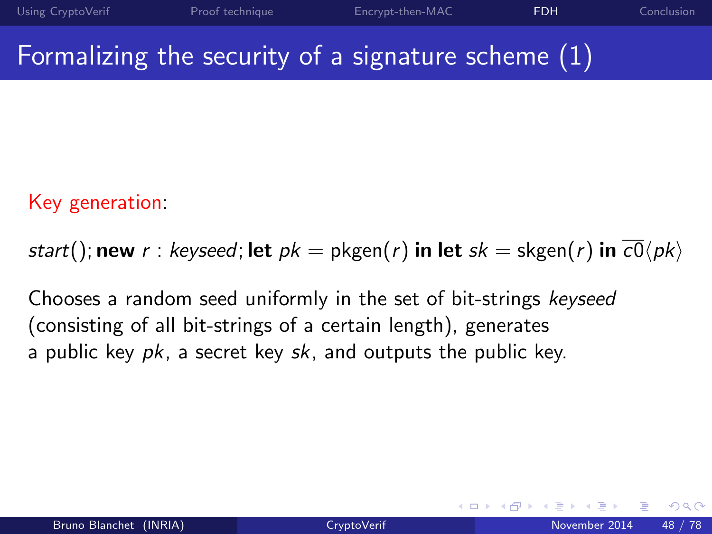## Formalizing the security of a signature scheme (1)

#### Key generation:

start(); new r : keyseed; let  $pk = pkgen(r)$  in let  $sk = skgen(r)$  in  $c0\langle pk \rangle$ 

Chooses a random seed uniformly in the set of bit-strings keyseed (consisting of all bit-strings of a certain length), generates a public key  $pk$ , a secret key  $sk$ , and outputs the public key.

4 0 8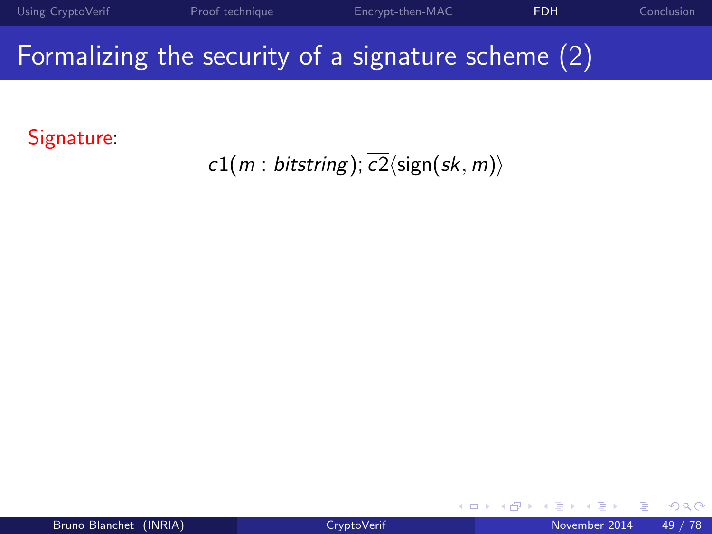# Formalizing the security of a signature scheme (2)

Signature:

 $c1(m : bitstring); \overline{c2}$  (sign(sk, m))

4 D F  $\mathcal{A}$  $\rightarrow$   $QQ$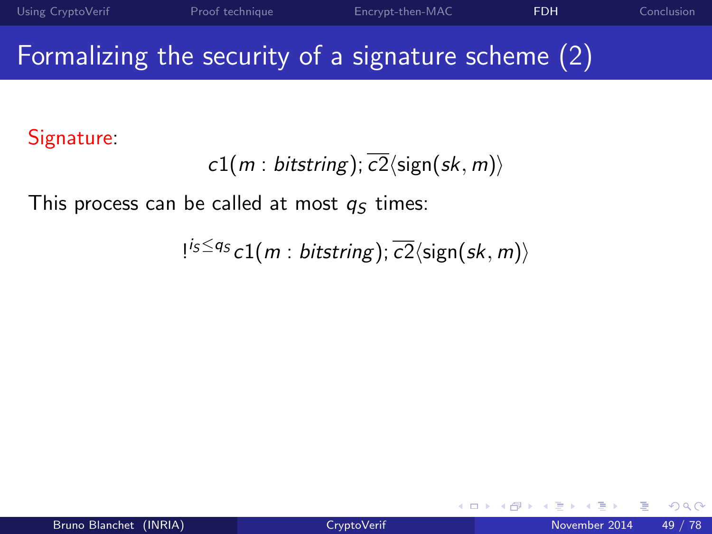## Formalizing the security of a signature scheme (2)

Signature:

 $c1(m : bitstring); \overline{c2}$  (sign(sk, m))

This process can be called at most  $q_S$  times:

```
1^{i_{5} \leq q_{5}}c1(m : \text{ bitstring}); \overline{c2} \langle \text{sign}(sk, m) \rangle
```
4 0 8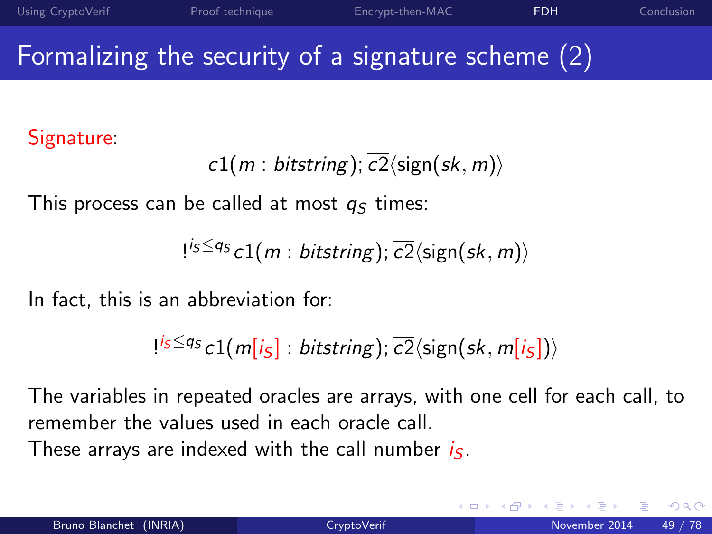# Formalizing the security of a signature scheme (2)

Signature:

```
c1(m : bitstring); \overline{c2} (sign(sk, m))
```
This process can be called at most  $q_{\varsigma}$  times:

```
1^{i_{5} \leq q_{5}}c1(m : \text{ bitstring}); \overline{c2} \langle \text{sign}(sk, m) \rangle
```
In fact, this is an abbreviation for:

 $\mathsf{R}^{ \mathsf{i} s \leq \mathsf{q} s}$  c1 $($  m $[\mathsf{i}_\mathsf{S}]$   $:$  bitstring  $);$   $\overline{c2}\langle$ sign $(\mathsf{sk}, \mathsf{m}[\mathsf{i}_\mathsf{S}])\rangle$ 

The variables in repeated oracles are arrays, with one cell for each call, to remember the values used in each oracle call.

These arrays are indexed with the call number  $i_S$ .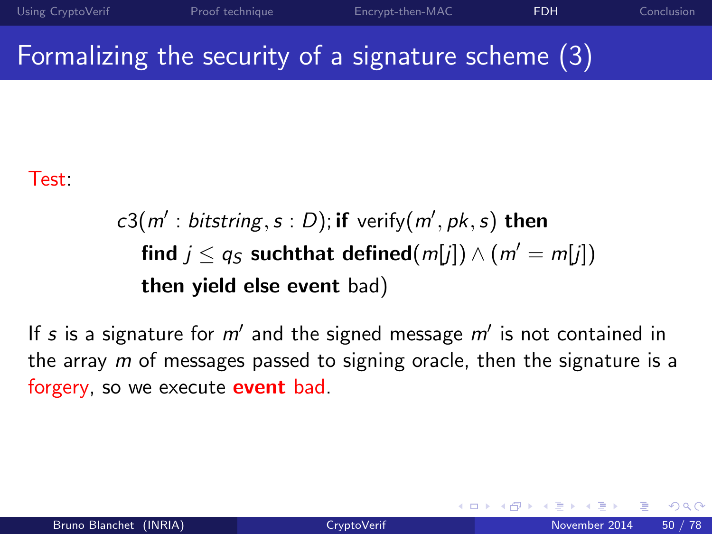# Formalizing the security of a signature scheme (3)

Test:

 $c3(m' : bitstring, s : D)$ ; if verify $(m', pk, s)$  then find  $j\leq q_S$  suchthat defined $(\overline{m[j]})\wedge(\overline{m'}=\overline{m[j]})$ then yield else event bad)

If s is a signature for  $m'$  and the signed message  $m'$  is not contained in the array  $m$  of messages passed to signing oracle, then the signature is a forgery, so we execute **event** bad.

4 0 8

 $200$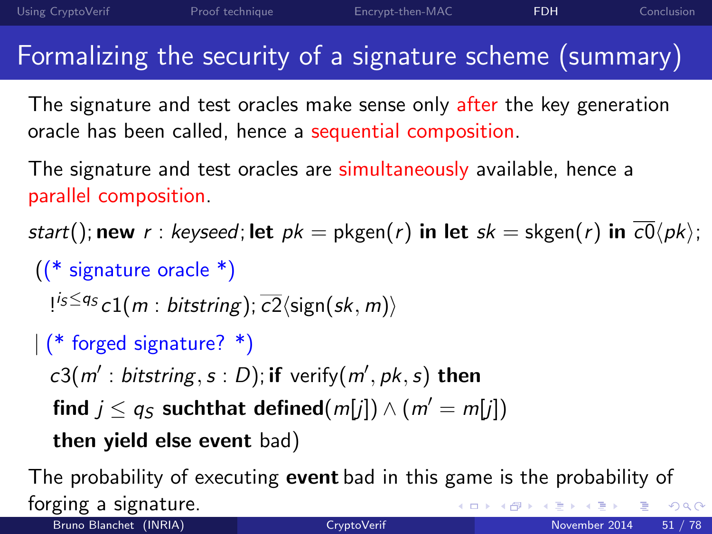## Formalizing the security of a signature scheme (summary)

The signature and test oracles make sense only after the key generation oracle has been called, hence a sequential composition.

The signature and test oracles are simultaneously available, hence a parallel composition.

start(); new r : keyseed; let  $pk = pkgen(r)$  in let  $sk = skgen(r)$  in  $\overline{c0}(pk)$ ;

```
((* signature oracle *)
```
 $1^{i_{5} \leq q_{5}}$  c1(m : bitstring);  $\overline{c2}$  $\langle$ sign(sk, m) $\rangle$ 

| (\* forged signature? \*)

 $c3(m' : bitstring, s : D)$ ; if verify $(m', pk, s)$  then

find  $j \leq q_S$  suchthat defined $(m[j]) \wedge (m' = m[j])$ 

then yield else event bad)

The probability of executing **event** bad in this game is the probability of forging a signature. **∢ ロ ▶ - ィ <sub>ロ</sub> ▶** - ィ  $QQ$ 

<span id="page-59-0"></span>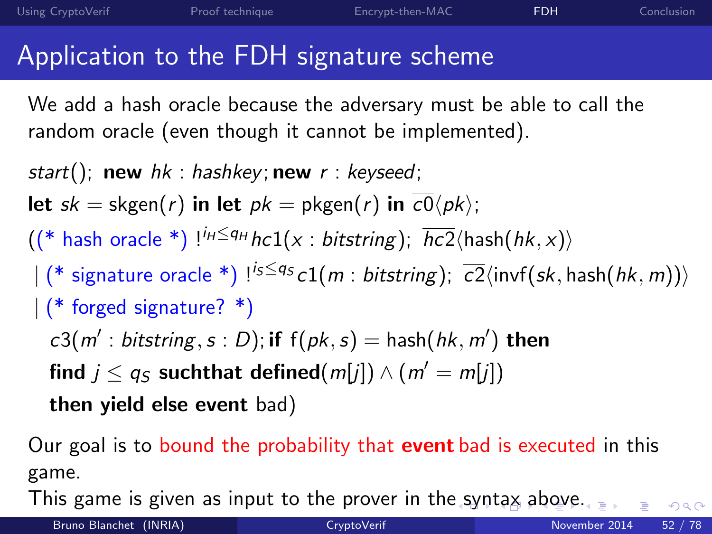## Application to the FDH signature scheme

We add a hash oracle because the adversary must be able to call the random oracle (even though it cannot be implemented).

```
\nstart(); new hk : hashkey; new r : keyseed;\nlet sk = skgen(r) in let pk = pkgen(r) in 
$$
\overline{c0} \langle pk \rangle
$$
;\n((* hash oracle *) !i_H ≤ q_H hc1(x : bitstring);  $\overline{hc2} \langle hash(hk, x) \rangle$ \n| (* signature oracle *) !i_S ≤ q_S c1(m : bitstring);  $\overline{c2} \langle invf(sk, hash(hk, m)) \rangle$ \n| (* forged signature? *)\n   c3(m' : bitstring, s : D); if f(pk, s) = hash(hk, m') then\n   find j ≤ q_S such that defined(m[j]) ∧ (m' = m[j])\n   then yield else event bad)\n
```

Our goal is to bound the probability that **event** bad is executed in this game.

<span id="page-60-0"></span>This game is given as input to the prover in th[e s](#page-59-0)[yn](#page-61-0)[ta](#page-59-0)[x](#page-60-0) [a](#page-61-0)[b](#page-51-0)[o](#page-52-0)[v](#page-83-0)[e](#page-84-0)[.](#page-51-0)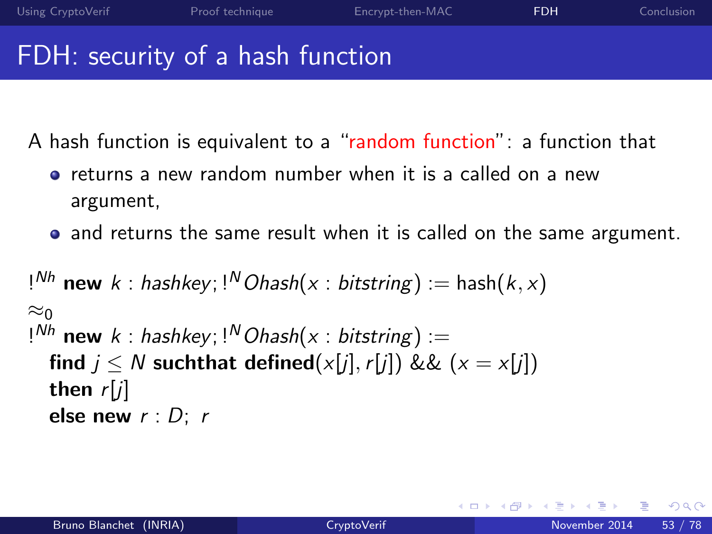### FDH: security of a hash function

A hash function is equivalent to a "random function": a function that

- returns a new random number when it is a called on a new argument,
- and returns the same result when it is called on the same argument.

```
!^{Nh} new k : hashkey; !^NOhash(x : bitstring) := hash(k, x)≈0
!^{Nh} new k: hashkey; !^NOhash(x: bitstring) :=find j \leq N such that defined(x[j], r[j]) & (x = x[j])then r[i]else new r : D: r
```
4 0 8

<span id="page-61-0"></span> $200$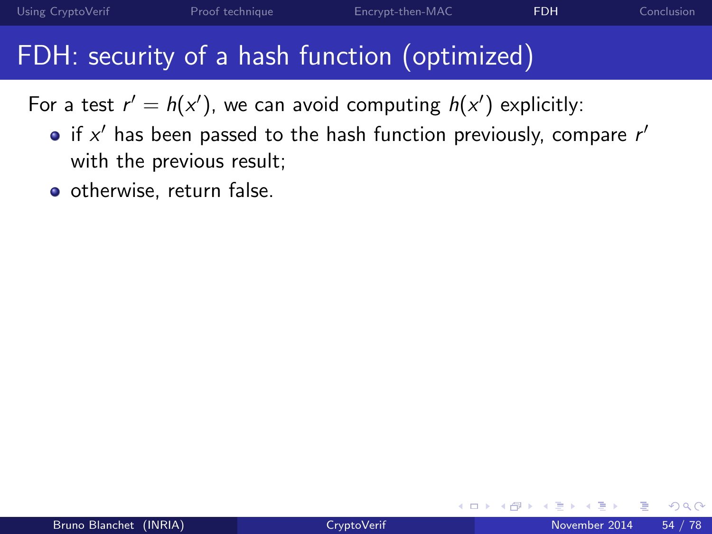## FDH: security of a hash function (optimized)

For a test  $r' = h(x')$ , we can avoid computing  $h(x')$  explicitly:

- if  $x'$  has been passed to the hash function previously, compare  $r'$ with the previous result;
- **o** otherwise, return false.

4 0 8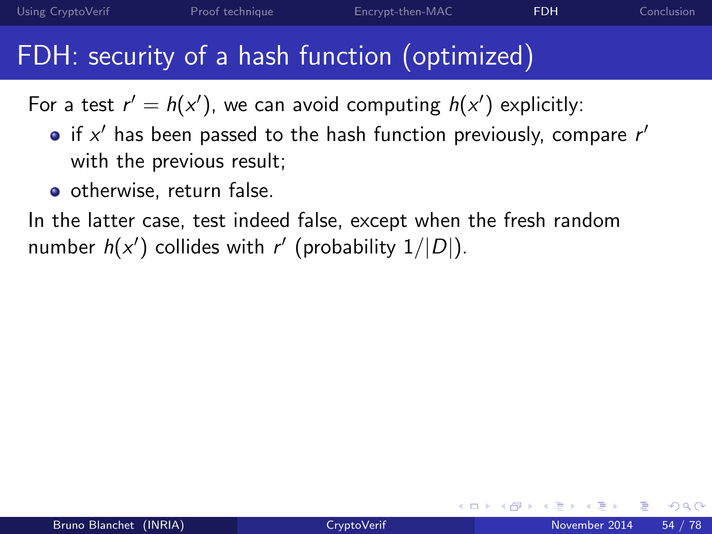## FDH: security of a hash function (optimized)

For a test  $r' = h(x')$ , we can avoid computing  $h(x')$  explicitly:

- if  $x'$  has been passed to the hash function previously, compare  $r'$ with the previous result;
- **o** otherwise, return false.

In the latter case, test indeed false, except when the fresh random number  $h(x')$  collides with r' (probability  $1/|D|$ ).

4 0 8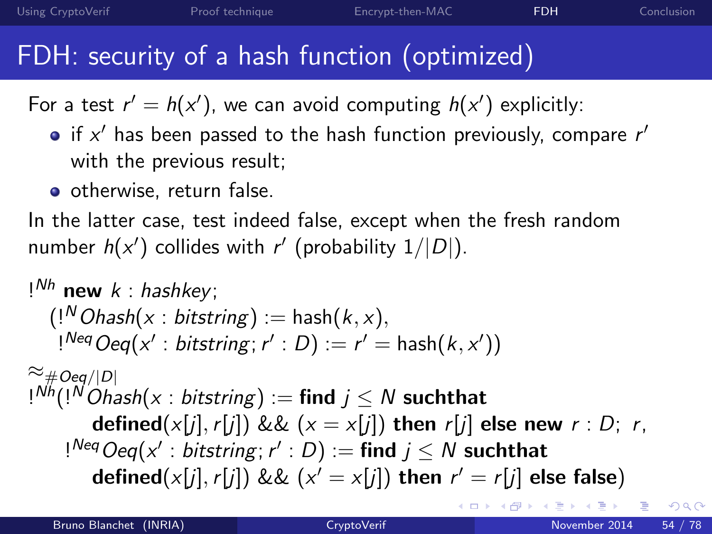## FDH: security of a hash function (optimized)

For a test  $r' = h(x')$ , we can avoid computing  $h(x')$  explicitly:

- if  $x'$  has been passed to the hash function previously, compare  $r'$ with the previous result;
- **o** otherwise, return false.

In the latter case, test indeed false, except when the fresh random number  $h(x')$  collides with r' (probability  $1/|D|$ ).

```
!^{Nh} new k: hashkey;
  (1^N Ohash(x : bitstring) := hash(k, x),!^{Neg} Oeq(x' : bitstring; r' : D) := r' = hash(k, x'))\approx_{\text{\#}Oea /|D|
!^{Nh}(!^{N}Ohash(x : bitstring) := find j \leq N suchthat
       defined(x[j], r[j]) && (x = x[j]) then r[j] else new r : D; r,
    !^{Neq}Oeq(x' : bitstring; r' : D) := find j \leq N suchthat
        defined(x[j], r[j]) && (x' = x[j]) then r' = r[j] else false)
```
4 D F

 $QQ$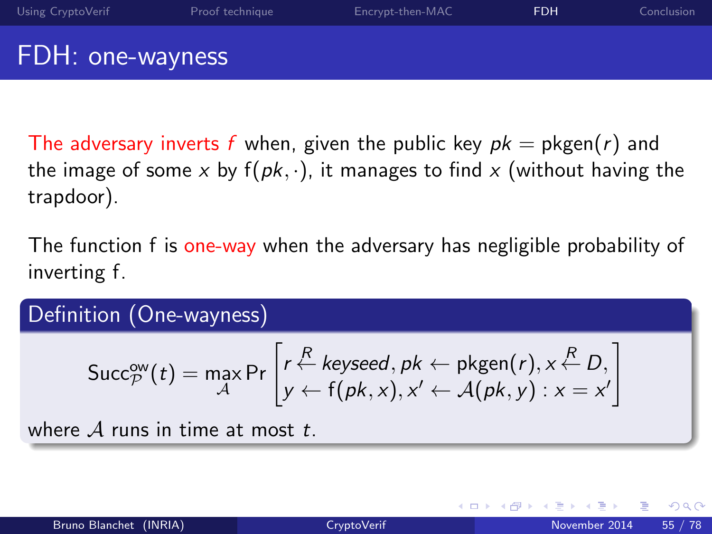#### FDH: one-wayness

The adversary inverts f when, given the public key  $pk = pkgen(r)$  and the image of some x by  $f(pk, \cdot)$ , it manages to find x (without having the trapdoor).

The function f is one-way when the adversary has negligible probability of inverting f.

#### Definition (One-wayness)

$$
\mathsf{Succ}_{\mathcal{P}}^{\mathsf{ow}}(t) = \max_{\mathcal{A}} \mathsf{Pr}\left[r \stackrel{\mathcal{R}}{\leftarrow} \mathsf{keyseed}, \mathsf{pk} \leftarrow \mathsf{pkgen}(r), x \stackrel{\mathcal{R}}{\leftarrow} D,\\y \leftarrow f(\mathsf{pk}, x), x' \leftarrow \mathcal{A}(\mathsf{pk}, y) : x = x'\right]
$$

where  $A$  runs in time at most  $t$ .

4 0 8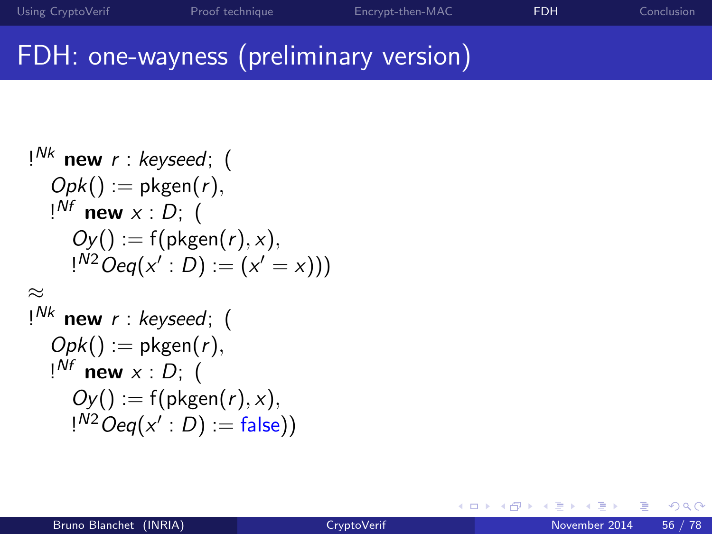## FDH: one-wayness (preliminary version)

$$
!^{Nk} \text{ new } r : \text{keyseed}; \ (
$$
\n
$$
Opk() := p\text{Kgen}(r),
$$
\n
$$
!^{Nf} \text{ new } x : D; \ (
$$
\n
$$
Oy() := f(p\text{Kgen}(r), x),
$$
\n
$$
!^{N2} Oeq(x' : D) := (x' = x)))
$$
\n
$$
\approx
$$
\n
$$
!^{Nk} \text{ new } r : \text{keyseed}; \ (
$$
\n
$$
Opk() := p\text{Kgen}(r),
$$
\n
$$
!^{Nf} \text{ new } x : D; \ (
$$
\n
$$
Oy() := f(p\text{Kgen}(r), x),
$$
\n
$$
!^{N2} Oeq(x' : D) := \text{false})
$$

目

Þ

∍ ×  $\mathcal{A}$ 

**∢ ロ ▶ イ 伊 ▶** 

 $299$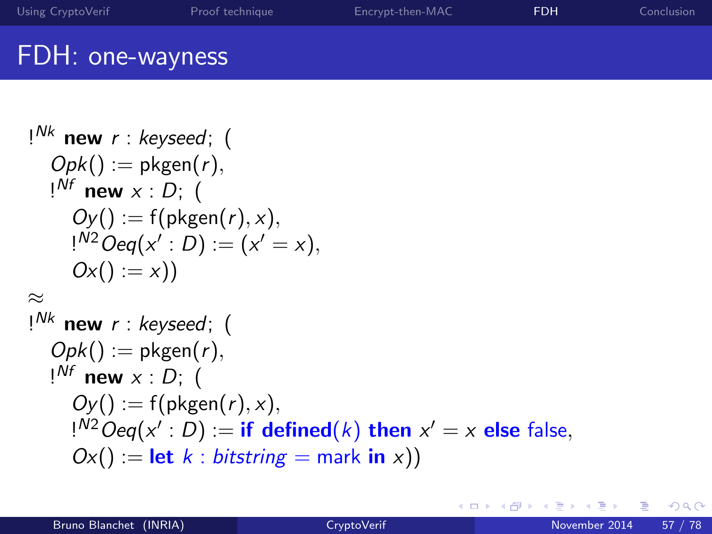#### FDH: one-wayness

```
\n
$$
\begin{aligned}\n&I^{Nk} \text{ new } r : \text{keyseed}; \\
&Opk() := \text{pkgen}(r), \\
&I^{Nf} \text{ new } x : D; \\
&Oy() := f(\text{pkgen}(r), x), \\
&I^{N2} \text{Oeq}(x' : D) := (x' = x), \\
&Ox() := x)) \\
&\approx \\
&I^{Nk} \text{ new } r : \text{keyseed}; \\
&I^{Nf} \text{ new } x : D; \\
&I^{Nf} \text{ new } x : D; \\
&I^{Nf} \text{new } x : D; \\
&I^{N2} \text{Oeq}(x' : D) := \text{if defined}(k) \text{ then } x' = x \text{ else false}, \\
&Ox() := \text{let } k : \text{ bitstring} = \text{mark in } x))\n\end{aligned}
$$
\n
```

重

 $299$ 

イロト イ部 トメ ヨ トメ ヨト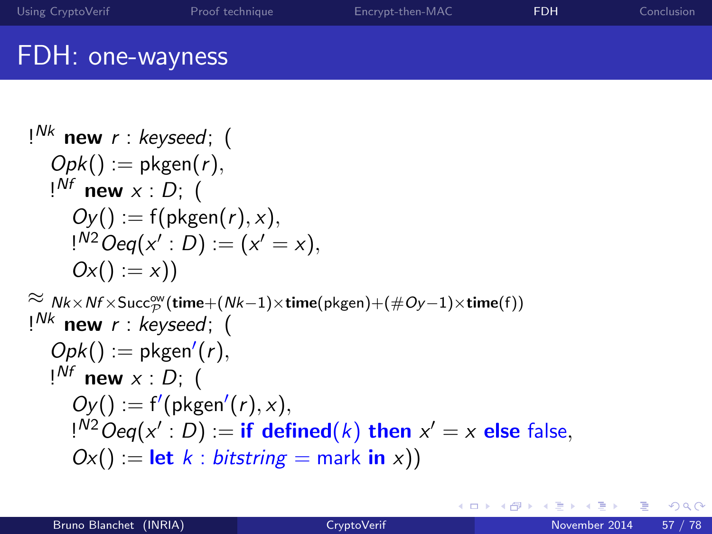### FDH: one-wayness

$$
I^{Nk} \text{ new } r : \text{keyseed}; \quad (
$$
\n
$$
Opk() := \text{pkgen}(r),
$$
\n
$$
I^{Nf} \text{ new } x : D; \quad (
$$
\n
$$
Oy() := f(\text{pkgen}(r), x),
$$
\n
$$
I^{N2} Oeq(x' : D) := (x' = x),
$$
\n
$$
Ox() := x))
$$
\n
$$
\approx Nk \times Nf \times \text{Succ}_{p}^{cy}(\text{time} + (Nk - 1) \times \text{time}(\text{pkgen}) + (\#Oy - 1) \times \text{time}(f))
$$
\n
$$
I^{Nk} \text{ new } r : \text{keyseed}; \quad (
$$
\n
$$
Opk() := \text{pkgen}'(r),
$$
\n
$$
I^{Nf} \text{new } x : D; \quad (
$$
\n
$$
Oy() := f'(\text{pkgen}'(r), x),
$$
\n
$$
I^{N2} Oeq(x' : D) := \text{if defined}(k) \text{ then } x' = x \text{ else false},
$$
\n
$$
Ox() := \text{let } k : \text{bitstring} = \text{mark in } x))
$$

重

 $299$ 

イロト イ部 トメ ヨ トメ ヨト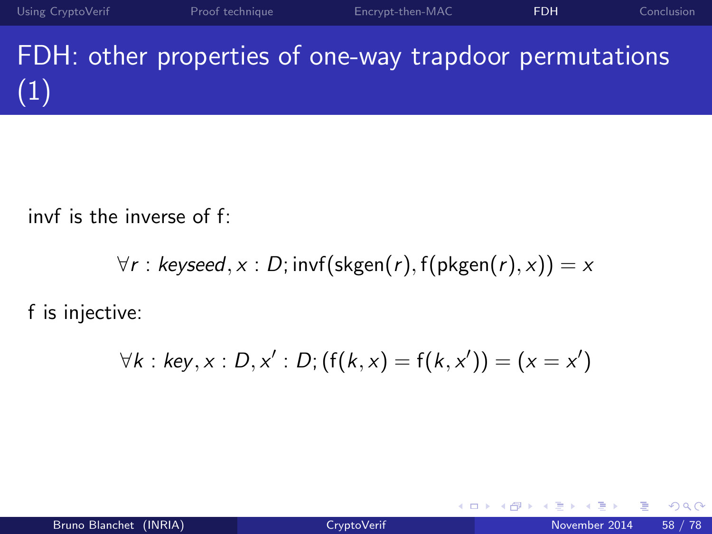∢ □ ▶ ⊣ n □ ▶

FDH: other properties of one-way trapdoor permutations (1)

invf is the inverse of f:

$$
\forall r : \textit{keyseed}, x : D; \text{invf}(\textit{skgen}(r), f(\textit{pkgen}(r), x)) = x
$$

f is injective:

$$
\forall k : key, x : D, x' : D; (f(k, x) = f(k, x')) = (x = x')
$$

 $QQ$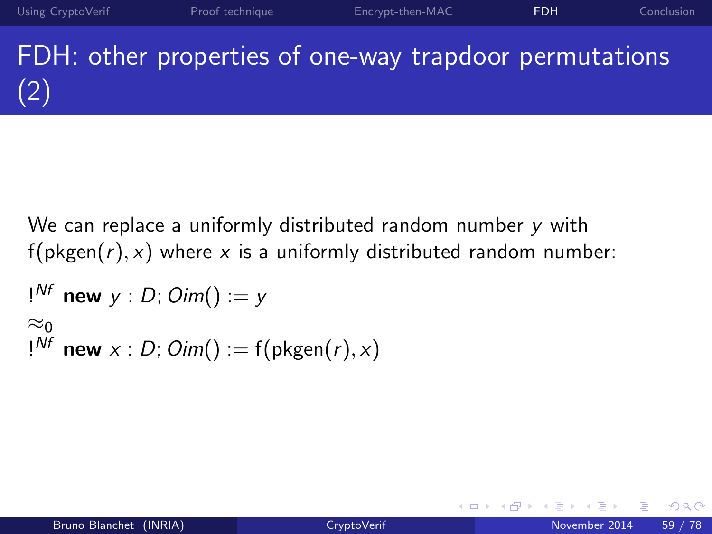FDH: other properties of one-way trapdoor permutations (2)

We can replace a uniformly distributed random number y with  $f(\text{pkgen}(r), x)$  where x is a uniformly distributed random number:

$$
!^{Nf} \text{ new } y : D; \text{Oim}() := y
$$
  
\n
$$
\approx_0
$$
  
\n
$$
!^{Nf} \text{ new } x : D; \text{Oim}() := f(\text{pkgen}(r), x)
$$

4 0 8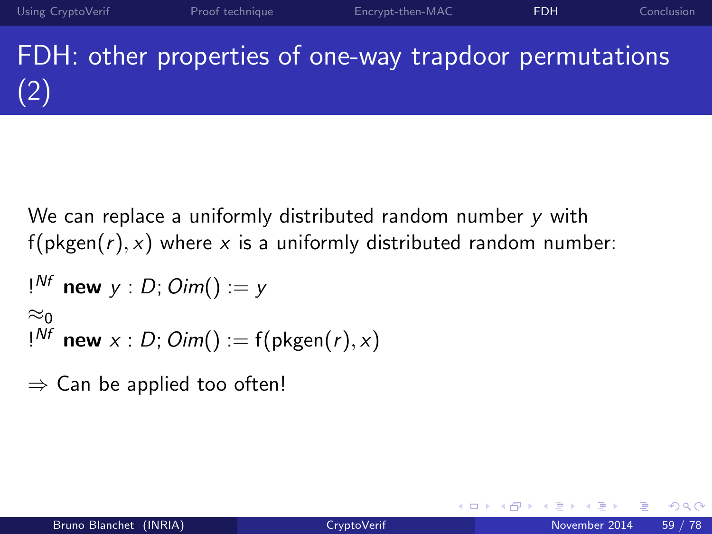We can replace a uniformly distributed random number y with  $f(\text{pkgen}(r), x)$  where x is a uniformly distributed random number:

$$
!^{NF}
$$
 new  $y : D; Oim() := y$   
\n $\approx_0$   
\n $!^{NF}$  new  $x : D; Oim() := f(pkgen(r), x)$ 

 $\Rightarrow$  Can be applied too often!

(2)

4 0 8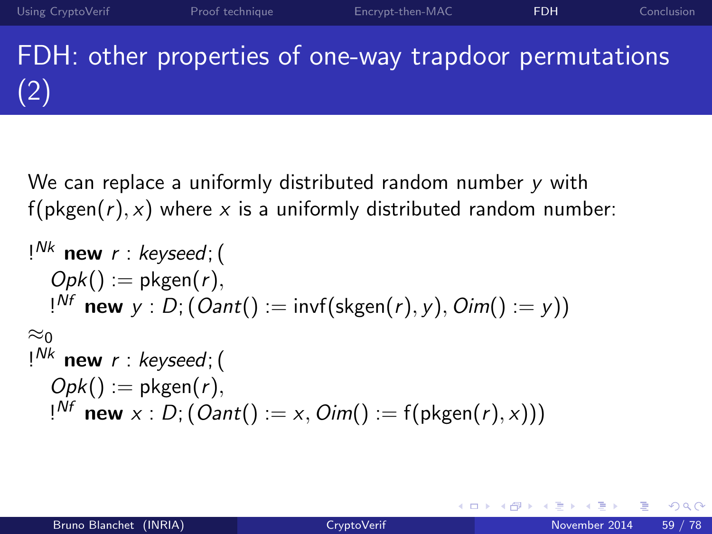# FDH: other properties of one-way trapdoor permutations (2)

We can replace a uniformly distributed random number y with  $f(\text{pkgen}(r), x)$  where x is a uniformly distributed random number:

$$
I^{Nk} \text{ new } r : \text{keyseed};
$$
\n
$$
Opk() := \text{pkgen}(r),
$$
\n
$$
I^{Nf} \text{ new } y : D; (Oant) := \text{invf}(\text{skgen}(r), y), Oim() := y))
$$
\n
$$
\approx_{0}
$$
\n
$$
I^{Nk} \text{ new } r : \text{keyseed};
$$
\n
$$
Opk() := \text{pkgen}(r),
$$
\n
$$
I^{Nf} \text{ new } x : D; (Oant) := x, Oim() := f(\text{pkgen}(r), x))
$$

4 0 8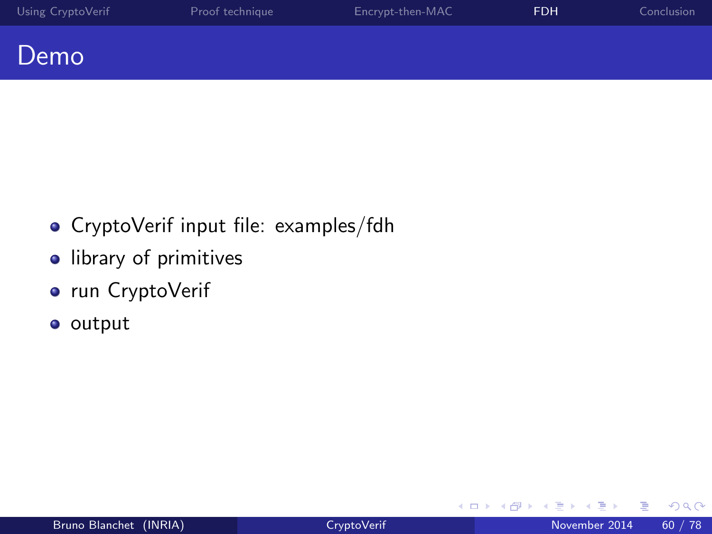- CryptoVerif input file: examples/fdh
- **·** library of primitives
- run CryptoVerif
- **o** output

4 0 8

→ 何 ▶

÷.

э

 $299$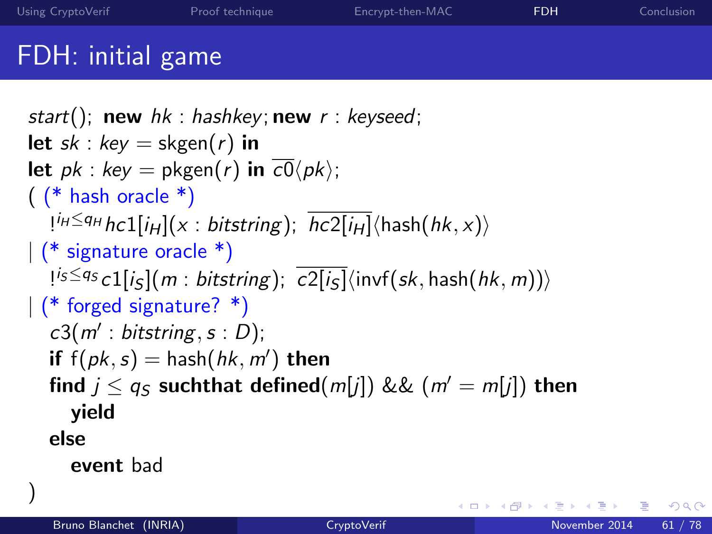# FDH: initial game

```
start(); new hk : hashkey; new r : keyseed;
let sk : key = \text{skgen}(r) in
let pk : key = pkgen(r) in \overline{c0} \langle pk \rangle;
( (* hash oracle *)
   \frac{1}{H}\sum q_H h c 1[i_H](x : \text{bitstring}); \overline{hc2[i_H]} \langle \text{hash}(hk, x) \rangle| (* signature oracle *)
   \mathbb{E}^{1/5 \leq q_S}c1[i_S](m : bitstring); \overline{c2[i_S]}\langleinvf(sk, \text{hash}(hk, m))\rangle| (* forged signature? *)
   c3(m' : bitstring, s : D);if f(pk, s) = hash(hk, m') then
   find j < q_S suchthat defined(m[j]) && (m' = m[j]) then
      yield
   else
      event bad
)
```
4 D F

 $200$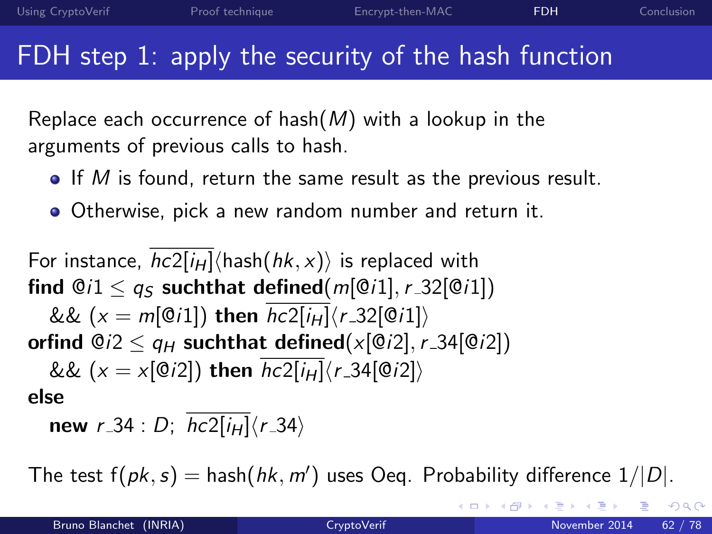#### FDH step 1: apply the security of the hash function

Replace each occurrence of hash $(M)$  with a lookup in the arguments of previous calls to hash.

- $\bullet$  If M is found, return the same result as the previous result.
- Otherwise, pick a new random number and return it.

For instance,  $hc2[i_H]\langle$ hash $(hk, x)\rangle$  is replaced with find  $Q_i 1 \leq q_S$  suchthat defined(m[ $Q_i 1$ ], r\_32[ $Q_i 1$ ]) &&  $(x = m[Q_1])$  then  $\overline{hc2[i_H]}$  $\langle r_32|Q_1]\rangle$ orfind  $Q_i^2 < q_H$  such that defined  $(x[Q_i^2], r_3^2[Q_i^2])$ &&  $(x = x[@i2])$  then  $\overline{hc2[i_H]}$  $\langle r_34[@i2]\rangle$ else

new  $r_34 : D$ ;  $hc2[i_H]\langle r_34\rangle$ 

The test  $f(pk, s) = hash(hk, m')$  uses Oeq. Probability difference  $1/|D|$ .

(□ ) ( n ) (

 $QQ$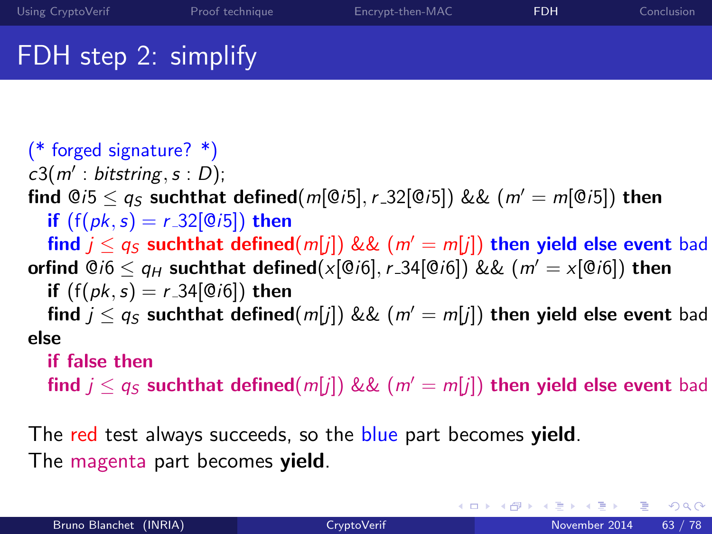## FDH step 2: simplify

(\* forged signature? \*)  $c3(m' : bitstring, s : D);$ find  $\mathbb{Q}$ *i*5  $\leq$  q<sub>S</sub> suchthat defined(m[ $\mathbb{Q}$ *i*5], r\_32[ $\mathbb{Q}$ *i*5]) && (m' = m[ $\mathbb{Q}$ *i*5]) then if  $(f(\,pk, s) = r_32[@i5])$  then find  $j \leq q_S$  suchthat defined $(m[i]) \& \& (m' = m[i])$  then yield else event bad orfind  $\mathcal{Q}$  i $6 < q_H$  such that defined  $(x[\mathcal{Q}$  i $6], r_0[34]$   $\mathcal{Q}$  i $6]$   $\mathcal{Q}$   $(m' = x[\mathcal{Q}$  i $6]$  then **if**  $(f(\,pk, s) = r_34[@i6])$  then find  $j \le q_S$  suchthat defined $(m[j])$  &&  $(m' = m[j])$  then yield else event bad else if false then find  $j \leq q_S$  suchthat defined(m[j]) && (m' = m[j]) then yield else event bad

The red test always succeeds, so the blue part becomes yield. The magenta part becomes yield.

 $\Omega$ 

イロト イ押ト イヨト イヨト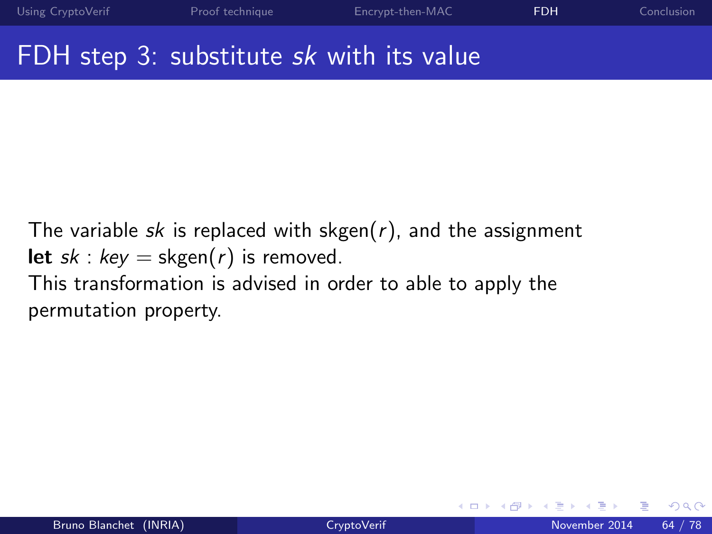### FDH step 3: substitute sk with its value

The variable sk is replaced with skgen( $r$ ), and the assignment let sk :  $key = \text{skgen}(r)$  is removed.

This transformation is advised in order to able to apply the permutation property.

4 0 8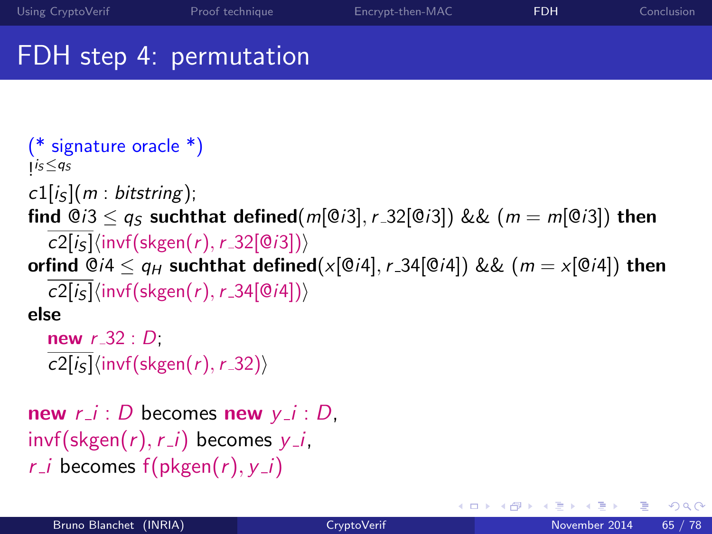## FDH step 4: permutation

```
(* signature oracle *)
i<sub>s</sub> \leq q<sub>s</sub>c1[i<sub>S</sub>](m : bitstring);
find Q_i3 < q_S suchthat defined(m[Q_i3], r_32[Q_i3]) && (m = m[Q_i3]) then
  c2[i<sub>S</sub>](invf(skgen(r), r_32[@i3]))
orfind Q_iA \leq q_H suchthat defined(x[Qi4], r_34[Qi4]) && (m = x[Q_iA]) then
  c2[i<sub>S</sub>](invf(skgen(r), r_34[@i4]))
else
  new r = 32 : D\overline{c2[i_S]}(invf(skgen(r), r_32))
new r_i: D becomes new y_i: D
invf(skgen(r), r_i) becomes y_i,
```
 $r_i$  becomes  $f(\text{pkgen}(r), y_i)$ 

4 0 8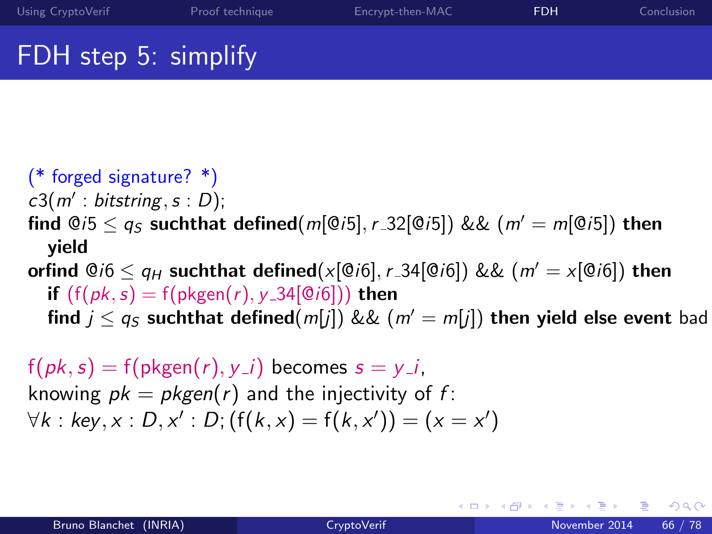# FDH step 5: simplify

#### (\* forged signature? \*)

- $c3(m' : bitstring, s : D);$
- find  $Q_i$ 5 <  $q_s$  suchthat defined(m[ $Q_i$ i5], r\_32[ $Q_i$ i5]) && (m' = m[ $Q_i$ i5]) then yield
- orfind  $\mathcal{Q}$  i6  $\leq q_H$  suchthat defined(x[ $\mathcal{Q}$  i6], r\_34[ $\mathcal{Q}$  i6]) &  $\&$  (m' = x[ $\mathcal{Q}$  i6]) then if  $(f(\mathit{pk}, s) = f(\mathit{pkgen}(r), y_34[@i6]))$  then find  $j < q_s$  suchthat defined(m[j]) && (m' = m[j]) then yield else event bad

 $f(pk, s) = f(pkgen(r), y_i)$  becomes  $s = y_i$ , knowing  $pk = pkgen(r)$  and the injectivity of f:  $\forall k : key, x : D, x' : D; (f(k, x) = f(k, x')) = (x = x')$ 

÷

 $QQ$ 

イロト イ母 トイヨ トイヨ トー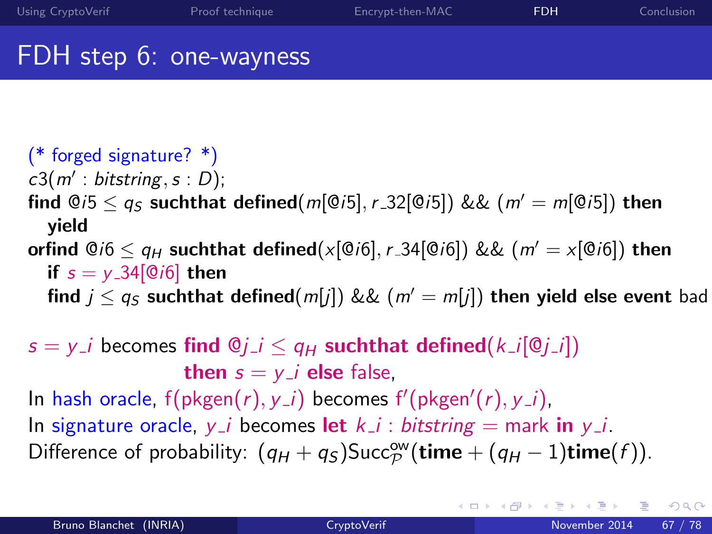#### FDH step 6: one-wayness

- (\* forged signature? \*)
- $c3(m' : bitstring, s : D);$
- find  $\mathcal{Q}/5 < q_S$  such that defined(m[ $\mathcal{Q}/5$ ], r\_32[ $\mathcal{Q}/5$ ]) && (m' = m[ $\mathcal{Q}/5$ ]) then yield
- orfind  $\mathbb{Q}$  i $6 \leq q_H$  suchthat defined(x[ $\mathbb{Q}$ i $6$ ], r\_34[ $\mathbb{Q}$ i $6$ ]) && (m' = x[ $\mathbb{Q}$ i $6$ ]) then if  $s = y_34[@i6]$  then

find  $j \leq q_S$  suchthat defined $(m[j])$  &&  $(m' = m[j])$  then yield else event bad

 $s = y_i$  becomes find  $\mathbb{Q}j_i \leq q_H$  suchthat defined(k\_i[ $\mathbb{Q}j_i$ ]) then  $s = y_i$  else false,

In hash oracle,  $f(pkgen(r), y_i)$  becomes  $f'(pkgen'(r), y_i)$ , In signature oracle, y *i* becomes let  $k$  *i* : bitstring  $=$  mark in y *i*. Difference of probability:  $(q_H + q_S)$ Succ<sup>ow</sup>(time +  $(q_H - 1)$ time(f)).

÷

 $QQ$ 

イロト イ押ト イヨト イヨト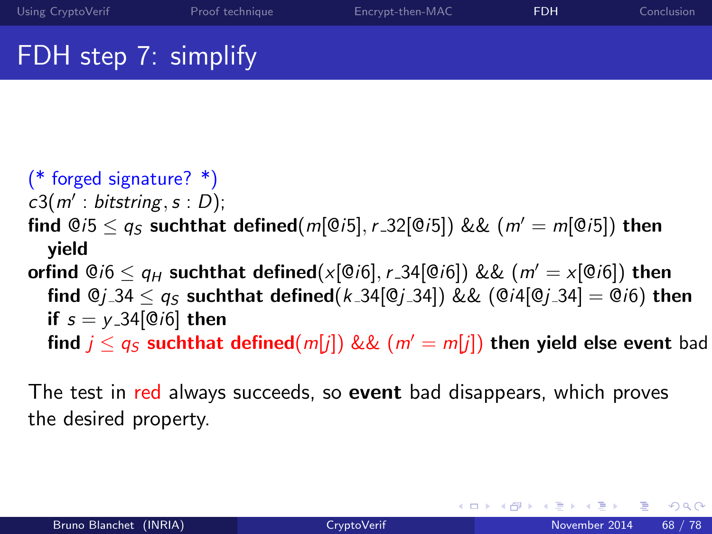## FDH step 7: simplify

#### (\* forged signature? \*)  $c3(m' : bitstring, s : D);$ find  $\mathcal{Q}$ *i*5  $\leq$  *q<sub>S</sub>* suchthat defined(*m*[ $\mathcal{Q}$ *i*5], *r*\_32[ $\mathcal{Q}$ *i*5]) && (*m'* = *m*[ $\mathcal{Q}$ *i*5]) then yield orfind  $\mathcal{Q}$  i6  $\lt q_H$  suchthat defined(x[ $\mathcal{Q}$ i6], r\_34[ $\mathcal{Q}$ i6]) && (m' = x[ $\mathcal{Q}$ i6]) then find  $Q_1 = 34 \le q_S$  suchthat defined(k=34[ $Q_1 = 34$ ]) && ( $Q_1 = 4$ [ $Q_1 = 34$ ] =  $Q_1 = 6$ ) then if  $s = v_34[@i6]$  then find  $j \leq q_S$  suchthat defined(m[j]) && (m' = m[j]) then yield else event bad

The test in red always succeeds, so event bad disappears, which proves the desired property.

K □ ▶ K @ ▶ K ミ ▶ K ミ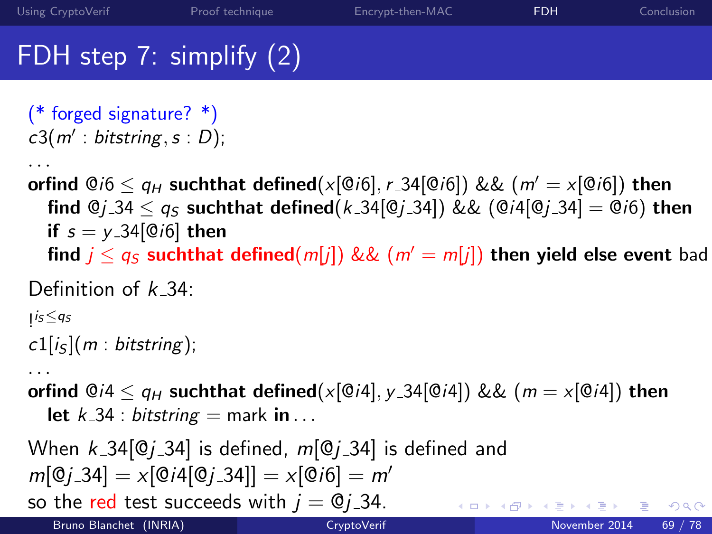# FDH step 7: simplify (2)

```
(* forged signature? *)
c3(m' : bitstring, s : D);. . .
orfind \mathcal{Q} i6 \lt q_H suchthat defined(x[\mathcal{Q}i6], r_34[\mathcal{Q}i6]) && (m' = x[\mathcal{Q}i6]) then
  find Q_1 = 34 < q_S suchthat defined(k 34[Q_1 = 34]) && (Q_1 = 4[Q_1 = 34] = Q_1 = 6) then
  if s = v_34[@i6] then
  find j \leq q_S suchthat defined(m[j]) && (m' = m[j]) then yield else event bad
Definition of k 34:
i_s \leq q_sc1[i<sub>S</sub>](m : bitstring);
. . .
orfind \mathbb{Q}/4 \leq q_H suchthat defined(x[\mathbb{Q}/4], y_34[\mathbb{Q}/4]) && (m = x[\mathbb{Q}/4]) then
  let k = 34 : bitstring = mark in ...
When k\_34[@j\_34] is defined, m[@j\_34] is defined and
m[@j_34] = x[@i4[@j_34]] = x[@i6] = m'so the red test succeeds with j = 0j-34.
                                                            イロト イ母 トイヨ トイヨト
                                                                                         QQ
```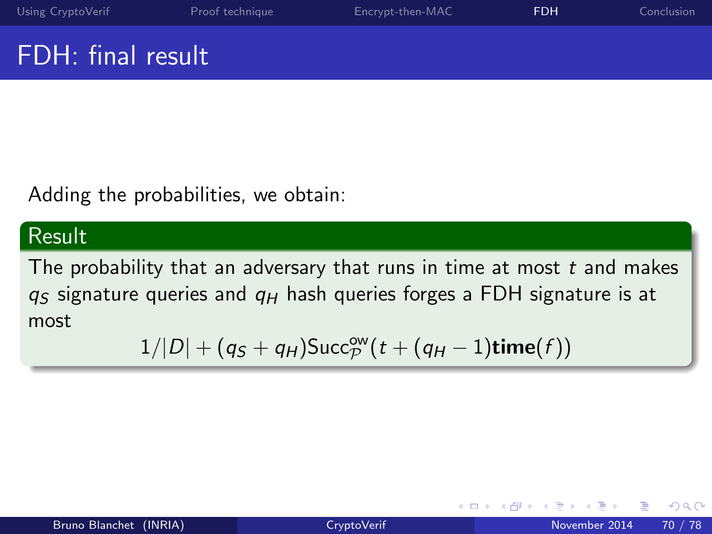# FDH: final result

Adding the probabilities, we obtain:

#### Result

The probability that an adversary that runs in time at most  $t$  and makes  $q<sub>S</sub>$  signature queries and  $q<sub>H</sub>$  hash queries forges a FDH signature is at most

$$
1/|D| + (q_S + q_H)
$$
 Succ<sub>P</sub><sup>ow</sup> $(t + (q_H - 1)$ time $(f)$ )

4 0 8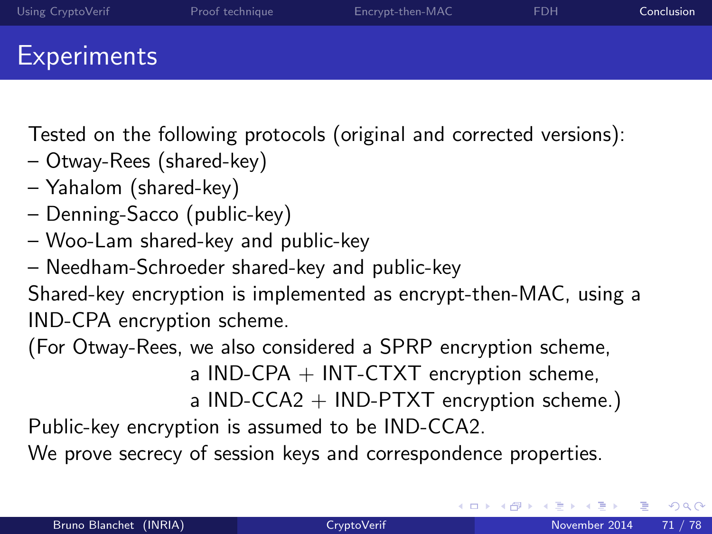Tested on the following protocols (original and corrected versions):

- Otway-Rees (shared-key)
- Yahalom (shared-key)
- Denning-Sacco (public-key)
- Woo-Lam shared-key and public-key
- Needham-Schroeder shared-key and public-key

Shared-key encryption is implemented as encrypt-then-MAC, using a IND-CPA encryption scheme.

(For Otway-Rees, we also considered a SPRP encryption scheme, a IND-CPA  $+$  INT-CTXT encryption scheme, a IND-CCA2  $+$  IND-PTXT encryption scheme.) Public-key encryption is assumed to be IND-CCA2.

We prove secrecy of session keys and correspondence properties.

<span id="page-84-0"></span>∢ □ ▶ ∢ <sub>□</sub> ▶ ∢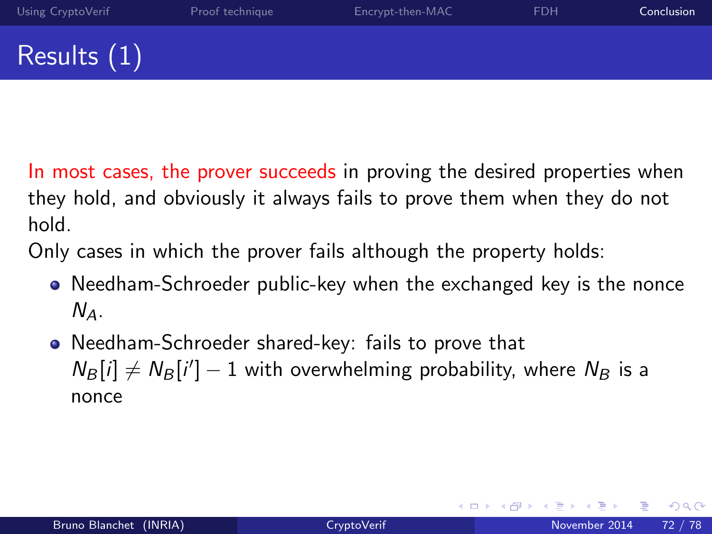In most cases, the prover succeeds in proving the desired properties when they hold, and obviously it always fails to prove them when they do not hold.

Only cases in which the prover fails although the property holds:

- Needham-Schroeder public-key when the exchanged key is the nonce  $N_{\Delta}$ .
- Needham-Schroeder shared-key: fails to prove that  $N_B[i] \neq N_B[i'] - 1$  with overwhelming probability, where  $N_B$  is a nonce

4 0 8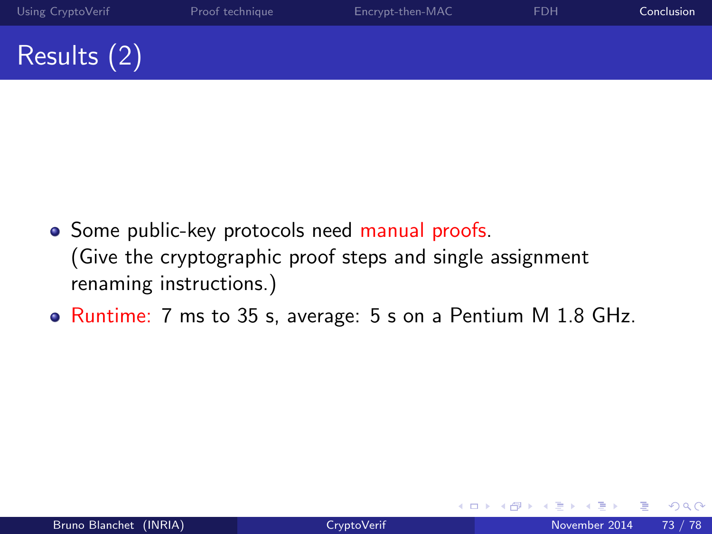

- Some public-key protocols need manual proofs. (Give the cryptographic proof steps and single assignment renaming instructions.)
- Runtime: 7 ms to 35 s, average: 5 s on a Pentium M 1.8 GHz.

4 0 8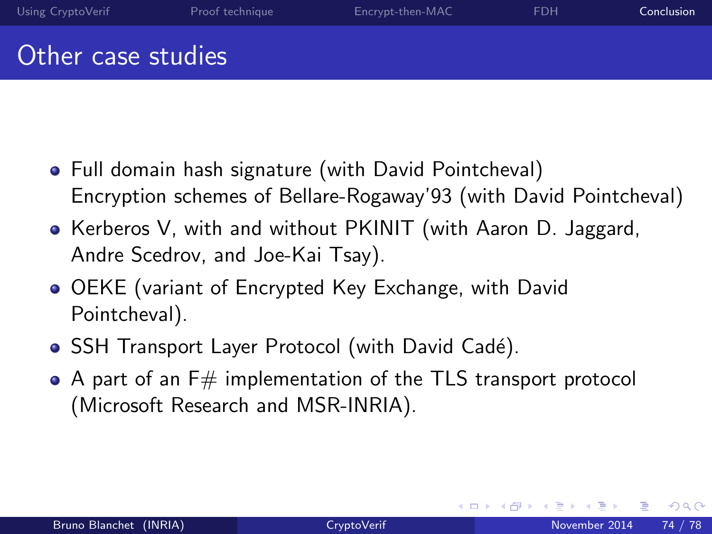#### Other case studies

- Full domain hash signature (with David Pointcheval) Encryption schemes of Bellare-Rogaway'93 (with David Pointcheval)
- Kerberos V, with and without PKINIT (with Aaron D. Jaggard, Andre Scedrov, and Joe-Kai Tsay).
- OEKE (variant of Encrypted Key Exchange, with David Pointcheval).
- SSH Transport Layer Protocol (with David Cadé).
- $\bullet$  A part of an  $F#$  implementation of the TLS transport protocol (Microsoft Research and MSR-INRIA).

4 0 8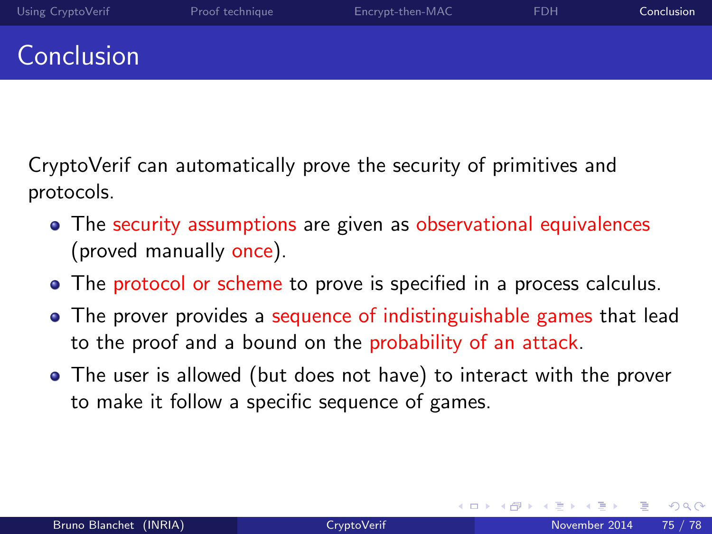CryptoVerif can automatically prove the security of primitives and protocols.

- The security assumptions are given as observational equivalences (proved manually once).
- The protocol or scheme to prove is specified in a process calculus.
- The prover provides a sequence of indistinguishable games that lead to the proof and a bound on the probability of an attack.
- The user is allowed (but does not have) to interact with the prover to make it follow a specific sequence of games.

4 0 8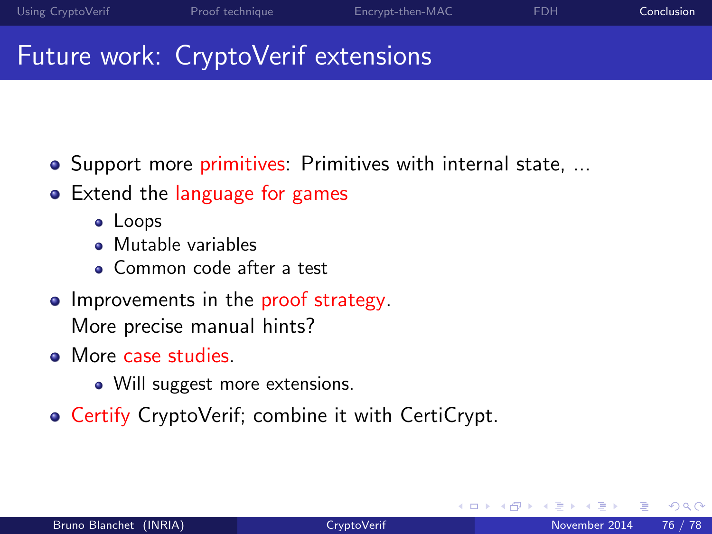## Future work: CryptoVerif extensions

- **•** Support more primitives: Primitives with internal state, ...
- Extend the language for games
	- Loops
	- **Mutable variables**
	- **Common code after a test**
- Improvements in the proof strategy. More precise manual hints?
- **More case studies** 
	- Will suggest more extensions.
- **Certify CryptoVerif; combine it with CertiCrypt.**

 $200$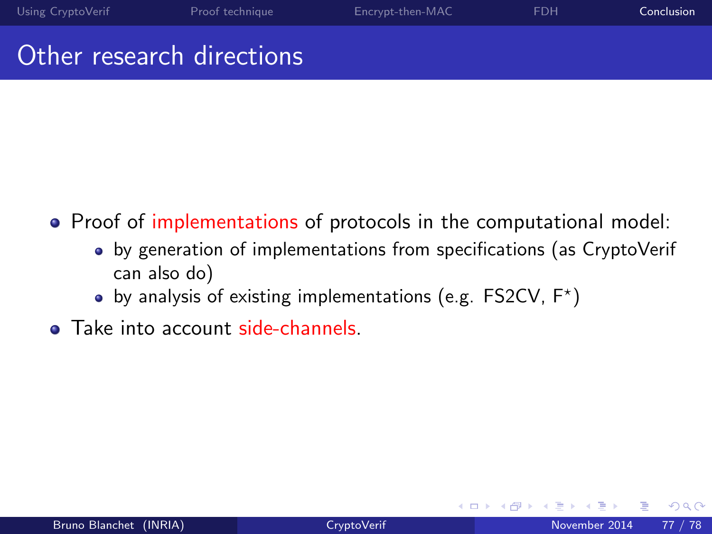#### Other research directions

- Proof of implementations of protocols in the computational model:
	- by generation of implementations from specifications (as CryptoVerif can also do)
	- by analysis of existing implementations (e.g.  $\mathsf{F}\mathsf{S2CV},\,\mathsf{F}^\star)$
- **•** Take into account side-channels.

4 0 8